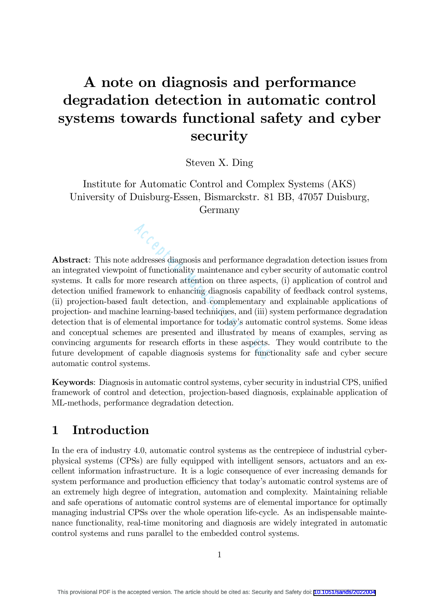# A note on diagnosis and performance degradation detection in automatic control systems towards functional safety and cyber security

Steven X. Ding

Institute for Automatic Control and Complex Systems (AKS) University of Duisburg-Essen, Bismarckstr. 81 BB, 47057 Duisburg, Germany

Abstract: This note addresses diagnosis and performance degradation detection issues from an integrated viewpoint of functionality maintenance and cyber security of automatic control systems. It calls for more research attention on three aspects, (i) application of control and detection unified framework to enhancing diagnosis capability of feedback control systems, (ii) projection-based fault detection, and complementary and explainable applications of projection- and machine learning-based techniques, and (iii) system performance degradation detection that is of elemental importance for today's automatic control systems. Some ideas and conceptual schemes are presented and illustrated by means of examples, serving as convincing arguments for research efforts in these aspects. They would contribute to the future development of capable diagnosis systems for functionality safe and cyber secure automatic control systems. Accesses diagnosis and performance degreed to functionality maintenance and cyber ore research attention on three aspects, ework to enhancing diagnosis capability ault detection, and complementary and (iii) sysmental impor

Keywords: Diagnosis in automatic control systems, cyber security in industrial CPS, unified framework of control and detection, projection-based diagnosis, explainable application of ML-methods, performance degradation detection.

## 1 Introduction

In the era of industry 4.0, automatic control systems as the centrepiece of industrial cyberphysical systems (CPSs) are fully equipped with intelligent sensors, actuators and an excellent information infrastructure. It is a logic consequence of ever increasing demands for system performance and production efficiency that today's automatic control systems are of an extremely high degree of integration, automation and complexity. Maintaining reliable and safe operations of automatic control systems are of elemental importance for optimally managing industrial CPSs over the whole operation life-cycle. As an indispensable maintenance functionality, real-time monitoring and diagnosis are widely integrated in automatic control systems and runs parallel to the embedded control systems.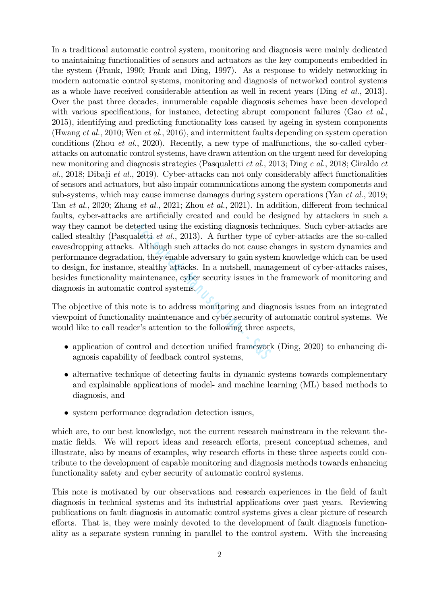In a traditional automatic control system, monitoring and diagnosis were mainly dedicated to maintaining functionalities of sensors and actuators as the key components embedded in the system (Frank, 1990; Frank and Ding, 1997). As a response to widely networking in modern automatic control systems, monitoring and diagnosis of networked control systems as a whole have received considerable attention as well in recent years (Ding et al., 2013). Over the past three decades, innumerable capable diagnosis schemes have been developed with various specifications, for instance, detecting abrupt component failures (Gao *et al.*, 2015), identifying and predicting functionality loss caused by ageing in system components (Hwang et al., 2010; Wen et al., 2016), and intermittent faults depending on system operation conditions (Zhou et al., 2020). Recently, a new type of malfunctions, the so-called cyberattacks on automatic control systems, have drawn attention on the urgent need for developing new monitoring and diagnosis strategies (Pasqualetti et al., 2013; Ding e al., 2018; Giraldo et al., 2018; Dibaji et al., 2019). Cyber-attacks can not only considerably affect functionalities of sensors and actuators, but also impair communications among the system components and sub-systems, which may cause immense damages during system operations (Yan  $et al., 2019;$ Tan et al., 2020; Zhang et al., 2021; Zhou et al., 2021). In addition, different from technical faults, cyber-attacks are artificially created and could be designed by attackers in such a way they cannot be detected using the existing diagnosis techniques. Such cyber-attacks are called stealthy (Pasqualetti et al., 2013). A further type of cyber-attacks are the so-called eavesdropping attacks. Although such attacks do not cause changes in system dynamics and performance degradation, they enable adversary to gain system knowledge which can be used to design, for instance, stealthy attacks. In a nutshell, management of cyber-attacks raises, besides functionality maintenance, cyber security issues in the framework of monitoring and diagnosis in automatic control systems. tected using the existing diagnosis tech<br>aletti *et al.*, 2013). A further type of<br>Although such attacks do not cause c<br>on, they enable adversary to gain syste<br>stealthy attacks. In a nutshell, mana<br>aintenance, cyber securi

The objective of this note is to address monitoring and diagnosis issues from an integrated viewpoint of functionality maintenance and cyber security of automatic control systems. We would like to call reader's attention to the following three aspects,

- application of control and detection unified framework (Ding, 2020) to enhancing diagnosis capability of feedback control systems,
- alternative technique of detecting faults in dynamic systems towards complementary and explainable applications of model- and machine learning (ML) based methods to diagnosis, and
- system performance degradation detection issues,

which are, to our best knowledge, not the current research mainstream in the relevant thematic fields. We will report ideas and research efforts, present conceptual schemes, and illustrate, also by means of examples, why research efforts in these three aspects could contribute to the development of capable monitoring and diagnosis methods towards enhancing functionality safety and cyber security of automatic control systems.

This note is motivated by our observations and research experiences in the field of fault diagnosis in technical systems and its industrial applications over past years. Reviewing publications on fault diagnosis in automatic control systems gives a clear picture of research efforts. That is, they were mainly devoted to the development of fault diagnosis functionality as a separate system running in parallel to the control system. With the increasing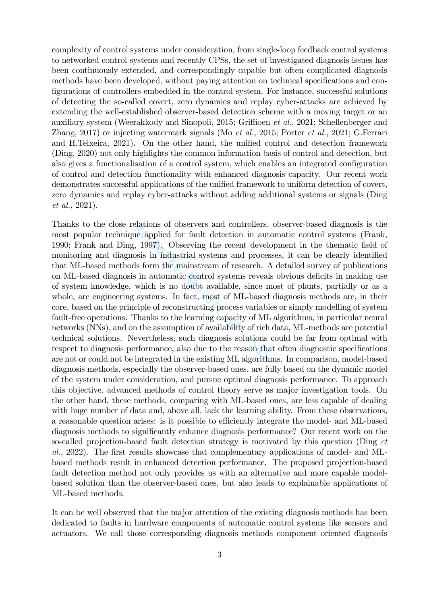complexity of control systems under consideration, from single-loop feedback control systems to networked control systems and recently CPSs, the set of investigated diagnosis issues has been continuously extended, and correspondingly capable but often complicated diagnosis methods have been developed, without paying attention on technical specifications and configurations of controllers embedded in the control system. For instance, successful solutions of detecting the so-called covert, zero dynamics and replay cyber-attacks are achieved by extending the well-established observer-based detection scheme with a moving target or an auxiliary system (Weerakkody and Sinopoli, 2015; Griffioen et al., 2021; Schellenberger and Zhang, 2017) or injecting watermark signals (Mo *et al.*, 2015; Porter *et al.*, 2021; G.Ferrari and H.Teixeira, 2021). On the other hand, the unified control and detection framework (Ding, 2020) not only highlights the common information basis of control and detection, but also gives a functionalisation of a control system, which enables an integrated configuration of control and detection functionality with enhanced diagnosis capacity. Our recent work demonstrates successful applications of the unified framework to uniform detection of covert, zero dynamics and replay cyber-attacks without adding additional systems or signals (Ding et al., 2021).

Thanks to the close relations of observers and controllers, observer-based diagnosis is the most popular technique applied for fault detection in automatic control systems (Frank, 1990; Frank and Ding, 1997). Observing the recent development in the thematic field of monitoring and diagnosis in industrial systems and processes, it can be clearly identified that ML-based methods form the mainstream of research. A detailed survey of publications on ML-based diagnosis in automatic control systems reveals obvious deficits in making use of system knowledge, which is no doubt available, since most of plants, partially or as a whole, are engineering systems. In fact, most of ML-based diagnosis methods are, in their core, based on the principle of reconstructing process variables or simply modelling of system fault-free operations. Thanks to the learning capacity of ML algorithms, in particular neural networks (NNs), and on the assumption of availability of rich data, ML-methods are potential technical solutions. Nevertheless, such diagnosis solutions could be far from optimal with respect to diagnosis performance, also due to the reason that often diagnostic specifications are not or could not be integrated in the existing ML algorithms. In comparison, model-based diagnosis methods, especially the observer-based ones, are fully based on the dynamic model of the system under consideration, and pursue optimal diagnosis performance. To approach this objective, advanced methods of control theory serve as major investigation tools. On the other hand, these methods, comparing with ML-based ones, are less capable of dealing with huge number of data and, above all, lack the learning ability. From these observations, a reasonable question arises: is it possible to efficiently integrate the model- and ML-based diagnosis methods to significantly enhance diagnosis performance? Our recent work on the so-called projection-based fault detection strategy is motivated by this question (Ding et al., 2022). The first results showcase that complementary applications of model- and MLbased methods result in enhanced detection performance. The proposed projection-based fault detection method not only provides us with an alternative and more capable modelbased solution than the observer-based ones, but also leads to explainable applications of ML-based methods. Plations of observers and controllers, the applied for fault detection in auto, 1997). Observing the recent develo<br>social in industrial systems and process<br>as form the mainstream of research. A<br>s in automatic control syste

It can be well observed that the major attention of the existing diagnosis methods has been dedicated to faults in hardware components of automatic control systems like sensors and actuators. We call those corresponding diagnosis methods component oriented diagnosis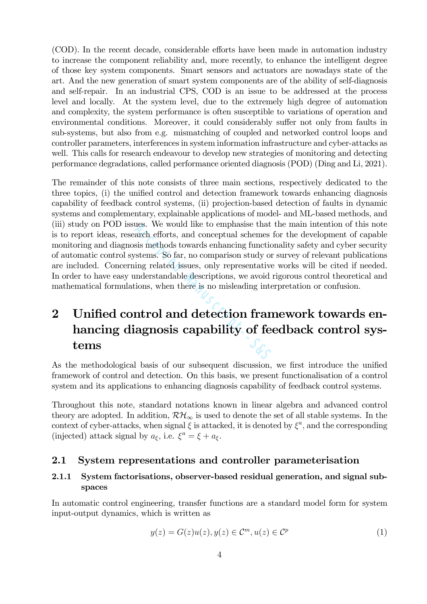(COD). In the recent decade, considerable efforts have been made in automation industry to increase the component reliability and, more recently, to enhance the intelligent degree of those key system components. Smart sensors and actuators are nowadays state of the art. And the new generation of smart system components are of the ability of self-diagnosis and self-repair. In an industrial CPS, COD is an issue to be addressed at the process level and locally. At the system level, due to the extremely high degree of automation and complexity, the system performance is often susceptible to variations of operation and environmental conditions. Moreover, it could considerably suffer not only from faults in sub-systems, but also from e.g. mismatching of coupled and networked control loops and controller parameters, interferences in system information infrastructure and cyber-attacks as well. This calls for research endeavour to develop new strategies of monitoring and detecting performance degradations, called performance oriented diagnosis (POD) (Ding and Li, 2021).

The remainder of this note consists of three main sections, respectively dedicated to the three topics, (i) the unified control and detection framework towards enhancing diagnosis capability of feedback control systems, (ii) projection-based detection of faults in dynamic systems and complementary, explainable applications of model- and ML-based methods, and (iii) study on POD issues. We would like to emphasise that the main intention of this note is to report ideas, research efforts, and conceptual schemes for the development of capable monitoring and diagnosis methods towards enhancing functionality safety and cyber security of automatic control systems. So far, no comparison study or survey of relevant publications are included. Concerning related issues, only representative works will be cited if needed. In order to have easy understandable descriptions, we avoid rigorous control theoretical and mathematical formulations, when there is no misleading interpretation or confusion. The would like to emphasise that<br>arch efforts, and conceptual schemes<br>sis methods towards enhancing function<br>stems. So far, no comparison study or<br>ing related issues, only representative<br>understandable descriptions, we avo

## 2 Unified control and detection framework towards enhancing diagnosis capability of feedback control systems

As the methodological basis of our subsequent discussion, we first introduce the unified framework of control and detection. On this basis, we present functionalisation of a control system and its applications to enhancing diagnosis capability of feedback control systems.

Throughout this note, standard notations known in linear algebra and advanced control theory are adopted. In addition,  $\mathcal{RH}_{\infty}$  is used to denote the set of all stable systems. In the context of cyber-attacks, when signal  $\xi$  is attacked, it is denoted by  $\xi^a$ , and the corresponding (injected) attack signal by  $a_{\xi}$ , i.e.  $\xi^a = \xi + a_{\xi}$ .

#### 2.1 System representations and controller parameterisation

#### 2.1.1 System factorisations, observer-based residual generation, and signal subspaces

In automatic control engineering, transfer functions are a standard model form for system input-output dynamics, which is written as

$$
y(z) = G(z)u(z), y(z) \in \mathcal{C}^m, u(z) \in \mathcal{C}^p
$$
\n<sup>(1)</sup>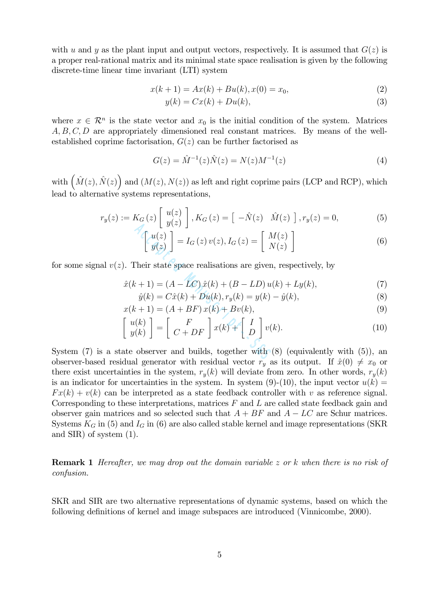with u and y as the plant input and output vectors, respectively. It is assumed that  $G(z)$  is a proper real-rational matrix and its minimal state space realisation is given by the following discrete-time linear time invariant (LTI) system

$$
x(k+1) = Ax(k) + Bu(k), x(0) = x_0,
$$
\n(2)

$$
y(k) = Cx(k) + Du(k),\tag{3}
$$

where  $x \in \mathcal{R}^n$  is the state vector and  $x_0$  is the initial condition of the system. Matrices A, B, C, D are appropriately dimensioned real constant matrices. By means of the wellestablished coprime factorisation,  $G(z)$  can be further factorised as

$$
G(z) = \hat{M}^{-1}(z)\hat{N}(z) = N(z)M^{-1}(z)
$$
\n(4)

with  $(\hat{M}(z), \hat{N}(z))$  and  $(M(z), N(z))$  as left and right coprime pairs (LCP and RCP), which lead to alternative systems representations,

$$
r_y(z) := K_G(z) \begin{bmatrix} u(z) \\ y(z) \end{bmatrix}, K_G(z) = \begin{bmatrix} -\hat{N}(z) & \hat{M}(z) \end{bmatrix}, r_y(z) = 0,
$$
 (5)

$$
\begin{bmatrix} u(z) \\ y(z) \end{bmatrix} = I_G(z) v(z), I_G(z) = \begin{bmatrix} M(z) \\ N(z) \end{bmatrix}
$$
 (6)

for some signal  $v(z)$ . Their state space realisations are given, respectively, by

$$
\hat{x}(k+1) = (A - LC)\,\hat{x}(k) + (B - LD)\,u(k) + Ly(k),\tag{7}
$$

$$
\hat{y}(k) = C\hat{x}(k) + Du(k), r_y(k) = y(k) - \hat{y}(k),
$$
\n(8)

$$
x(k+1) = (A + BF)x(k) + Bv(k),
$$
\n(9)

$$
\begin{bmatrix}\nu(z) \\
y(z)\n\end{bmatrix} = I_G(z)v(z), I_G(z) = \begin{bmatrix}\nM(z) \\
N(z)\n\end{bmatrix}
$$
\n(6)  
\n). Their state space realisations are given, respectively, by  
\n
$$
\hat{x}(k+1) = (A - LC)\,\hat{x}(k) + (B - LD)\,u(k) + Ly(k),
$$
\n(7)  
\n
$$
\hat{y}(k) = C\hat{x}(k) + Du(k), r_y(k) = y(k) - \hat{y}(k),
$$
\n(8)  
\n
$$
x(k+1) = (A + BF)\,x(k) + Bv(k),
$$
\n(9)  
\n
$$
\begin{bmatrix}\nu(k) \\
y(k)\n\end{bmatrix} = \begin{bmatrix}\nF \\
C + DF\n\end{bmatrix} x(k) + \begin{bmatrix}\nI \\
D\n\end{bmatrix} v(k).
$$
\n(10)  
\nate observer and builds, together with (8) (equivalently with (5)), an  
\ndual generator with weighted vector **p** as its output. If  $\hat{y}(0) \neq 0$  are

System  $(7)$  is a state observer and builds, together with  $(8)$  (equivalently with  $(5)$ ), an observer-based residual generator with residual vector  $r_y$  as its output. If  $\hat{x}(0) \neq x_0$  or there exist uncertainties in the system,  $r_y(k)$  will deviate from zero. In other words,  $r_y(k)$ is an indicator for uncertainties in the system. In system (9)-(10), the input vector  $u(k)$  =  $Fx(k)+v(k)$  can be interpreted as a state feedback controller with v as reference signal. Corresponding to these interpretations, matrices  $F$  and  $L$  are called state feedback gain and observer gain matrices and so selected such that  $A + BF$  and  $A - LC$  are Schur matrices. Systems  $K_G$  in (5) and  $I_G$  in (6) are also called stable kernel and image representations (SKR and SIR) of system (1).

Remark 1 Hereafter, we may drop out the domain variable z or k when there is no risk of confusion.

SKR and SIR are two alternative representations of dynamic systems, based on which the following definitions of kernel and image subspaces are introduced (Vinnicombe, 2000).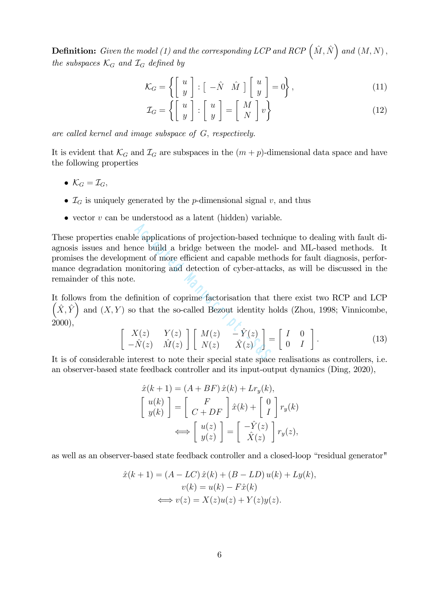**Definition:** Given the model (1) and the corresponding LCP and RCP  $(\hat{M}, \hat{N})$  and  $(M, N)$ , the subspaces  $\mathcal{K}_G$  and  $\mathcal{I}_G$  defined by

$$
\mathcal{K}_G = \left\{ \left[ \begin{array}{c} u \\ y \end{array} \right] : \left[ \begin{array}{cc} -\hat{N} & \hat{M} \end{array} \right] \left[ \begin{array}{c} u \\ y \end{array} \right] = 0 \right\},\tag{11}
$$

$$
\mathcal{I}_G = \left\{ \left[ \begin{array}{c} u \\ y \end{array} \right] : \left[ \begin{array}{c} u \\ y \end{array} \right] = \left[ \begin{array}{c} M \\ N \end{array} \right] v \right\} \tag{12}
$$

are called kernel and image subspace of G, respectively.

It is evident that  $\mathcal{K}_G$  and  $\mathcal{I}_G$  are subspaces in the  $(m + p)$ -dimensional data space and have the following properties

- $\mathcal{K}_G = \mathcal{I}_G$ ,
- $\mathcal{I}_G$  is uniquely generated by the p-dimensional signal v, and thus
- vector  $v$  can be understood as a latent (hidden) variable.

These properties enable applications of projection-based technique to dealing with fault diagnosis issues and hence build a bridge between the model- and ML-based methods. It promises the development of more efficient and capable methods for fault diagnosis, performance degradation monitoring and detection of cyber-attacks, as will be discussed in the remainder of this note. deed applications of projection-based techtrical and capable method entors of more efficient and capable method intition of coprime factorisation that that the so-called Bezout identity h<br>  $X(z) = Y(z) Y(z) \begin{bmatrix} M(z) & -\hat{Y}(z) \\ N(z$ 

It follows from the definition of coprime factorisation that there exist two RCP and LCP  $(\hat{X}, \hat{Y})$  and  $(X, Y)$  so that the so-called Bezout identity holds (Zhou, 1998; Vinnicombe, 2000),

$$
\begin{bmatrix}\nX(z) & Y(z) \\
-\hat{N}(z) & \hat{M}(z)\n\end{bmatrix}\n\begin{bmatrix}\nM(z) & -\hat{Y}(z) \\
N(z) & \hat{X}(z)\n\end{bmatrix} =\n\begin{bmatrix}\nI & 0 \\
0 & I\n\end{bmatrix}.
$$
\n(13)

It is of considerable interest to note their special state space realisations as controllers, i.e. an observer-based state feedback controller and its input-output dynamics (Ding, 2020),

$$
\hat{x}(k+1) = (A + BF)\,\hat{x}(k) + Lr_y(k),
$$
\n
$$
\begin{bmatrix} u(k) \\ y(k) \end{bmatrix} = \begin{bmatrix} F \\ C + DF \end{bmatrix} \hat{x}(k) + \begin{bmatrix} 0 \\ I \end{bmatrix} r_y(k)
$$
\n
$$
\iff \begin{bmatrix} u(z) \\ y(z) \end{bmatrix} = \begin{bmatrix} -\hat{Y}(z) \\ \hat{X}(z) \end{bmatrix} r_y(z),
$$

as well as an observer-based state feedback controller and a closed-loop "residual generator"

$$
\hat{x}(k+1) = (A - LC)\,\hat{x}(k) + (B - LD)\,u(k) + Ly(k),
$$
  

$$
v(k) = u(k) - F\hat{x}(k)
$$
  

$$
\iff v(z) = X(z)u(z) + Y(z)y(z).
$$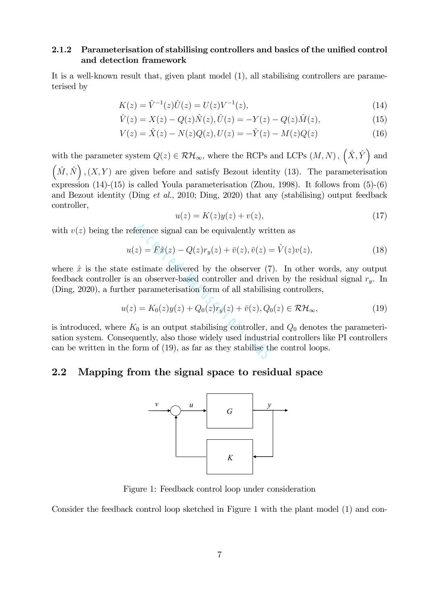#### 2.1.2 Parameterisation of stabilising controllers and basics of the unified control and detection framework

It is a well-known result that, given plant model (1), all stabilising controllers are parameterised by

$$
K(z) = \hat{V}^{-1}(z)\hat{U}(z) = U(z)V^{-1}(z),\tag{14}
$$

$$
\hat{V}(z) = X(z) - Q(z)\hat{N}(z), \hat{U}(z) = -Y(z) - Q(z)\hat{M}(z),
$$
\n(15)

$$
V(z) = \hat{X}(z) - N(z)Q(z), U(z) = -\hat{Y}(z) - M(z)Q(z)
$$
\n(16)

with the parameter system  $Q(z) \in \mathcal{RH}_{\infty}$ , where the RCPs and LCPs  $(M, N)$ ,  $(\hat{X}, \hat{Y})$  and  $(\hat{M}, \hat{N})$ ,  $(X, Y)$  are given before and satisfy Bezout identity (13). The parameterisation expression (14)-(15) is called Youla parameterisation (Zhou, 1998). It follows from (5)-(6) and Bezout identity (Ding et al., 2010; Ding, 2020) that any (stabilising) output feedback controller,

$$
u(z) = K(z)y(z) + v(z),\tag{17}
$$

with  $v(z)$  being the reference signal can be equivalently written as

$$
u(z) = F\hat{x}(z) - Q(z)r_y(z) + \bar{v}(z), \bar{v}(z) = \hat{V}(z)v(z),
$$
\n(18)

where  $\hat{x}$  is the state estimate delivered by the observer (7). In other words, any output feedback controller is an observer-based controller and driven by the residual signal  $r_y$ . In (Ding, 2020), a further parameterisation form of all stabilising controllers,

$$
u(z) = K_0(z)y(z) + Q_0(z)r_y(z) + \bar{v}(z), Q_0(z) \in \mathcal{RH}_{\infty},\tag{19}
$$

is introduced, where  $K_0$  is an output stabilising controller, and  $Q_0$  denotes the parameterisation system. Consequently, also those widely used industrial controllers like PI controllers can be written in the form of (19), as far as they stabilise the control loops. ference signal can be equivalently writ<br>  $z$ ) =  $F\hat{x}(z) - Q(z)r_y(z) + \bar{v}(z), \bar{v}(z)$  =<br>
sstimate delivered by the observer (7)<br>
an observer-based controller and drive<br>  $\hat{z}$  parameterisation form of all stabilisis<br>  $= K_0(z)y(z)$ 

#### 2.2 Mapping from the signal space to residual space



Figure 1: Feedback control loop under consideration

Consider the feedback control loop sketched in Figure 1 with the plant model (1) and con-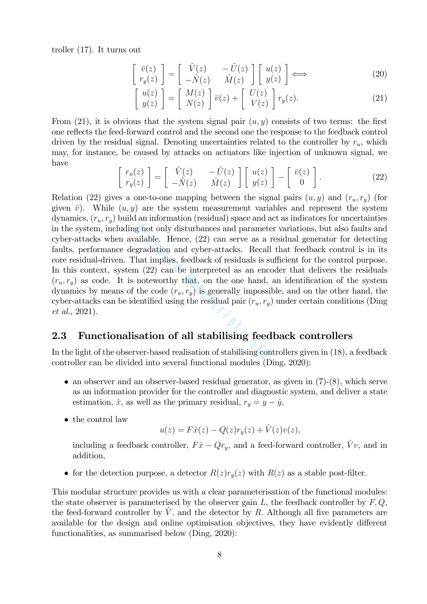troller (17). It turns out

$$
\begin{bmatrix}\n\bar{v}(z) \\
 r_y(z)\n\end{bmatrix} = \begin{bmatrix}\n\hat{V}(z) & -\hat{U}(z) \\
-\hat{N}(z) & \hat{M}(z)\n\end{bmatrix} \begin{bmatrix}\nu(z) \\
 y(z)\n\end{bmatrix} \Longleftrightarrow (20)
$$

$$
\begin{bmatrix} u(z) \\ y(z) \end{bmatrix} = \begin{bmatrix} M(z) \\ N(z) \end{bmatrix} \overline{v}(z) + \begin{bmatrix} U(z) \\ V(z) \end{bmatrix} r_y(z).
$$
 (21)

From (21), it is obvious that the system signal pair  $(u, y)$  consists of two terms: the first one reflects the feed-forward control and the second one the response to the feedback control driven by the residual signal. Denoting uncertainties related to the controller by  $r_u$ , which may, for instance, be caused by attacks on actuators like injection of unknown signal, we have

$$
\begin{bmatrix}\nr_u(z) \\
r_y(z)\n\end{bmatrix} = \begin{bmatrix}\n\hat{V}(z) & -\hat{U}(z) \\
-\hat{N}(z) & \hat{M}(z)\n\end{bmatrix} \begin{bmatrix}\nu(z) \\
y(z)\n\end{bmatrix} - \begin{bmatrix}\n\bar{v}(z) \\
0\n\end{bmatrix}.
$$
\n(22)

Relation (22) gives a one-to-one mapping between the signal pairs  $(u, y)$  and  $(r_u, r_y)$  (for given  $\bar{v}$ ). While  $(u, y)$  are the system measurement variables and represent the system dynamics,  $(r_u, r_y)$  build an information (residual) space and act as indicators for uncertainties in the system, including not only disturbances and parameter variations, but also faults and cyber-attacks when available. Hence, (22) can serve as a residual generator for detecting faults, performance degradation and cyber-attacks. Recall that feedback control is in its core residual-driven. That implies, feedback of residuals is sufficient for the control purpose. In this context, system  $(22)$  can be interpreted as an encoder that delivers the residuals  $(r_u, r_y)$  as code. It is noteworthy that, on the one hand, an identification of the system dynamics by means of the code  $(r_u, r_y)$  is generally impossible, and on the other hand, the cyber-attacks can be identified using the residual pair  $(r_u, r_y)$  under certain conditions (Ding et al., 2021). g not only disturbances and paramete<br>callable. Hence, (22) can serve as a r<br>gradation and cyber-attacks. Recall<br>hat implies, feedback of residuals is su<br>n (22) can be interpreted as an enco<br>noteworthy that, on the one han

#### 2.3 Functionalisation of all stabilising feedback controllers

In the light of the observer-based realisation of stabilising controllers given in (18), a feedback controller can be divided into several functional modules (Ding, 2020):

- an observer and an observer-based residual generator, as given in  $(7)-(8)$ , which serve as an information provider for the controller and diagnostic system, and deliver a state estimation,  $\hat{x}$ , as well as the primary residual,  $r_y = y - \hat{y}$ ,
- the control law

$$
u(z) = F\hat{x}(z) - Q(z)r_y(z) + \hat{V}(z)v(z),
$$

including a feedback controller,  $F\hat{x} - Qr_y$ , and a feed-forward controller,  $\hat{V}v$ , and in addition,

• for the detection purpose, a detector  $R(z)r_y(z)$  with  $R(z)$  as a stable post-filter.

This modular structure provides us with a clear parameterisation of the functional modules: the state observer is parameterised by the observer gain  $L$ , the feedback controller by  $F, Q$ , the feed-forward controller by  $\hat{V}$ , and the detector by R. Although all five parameters are available for the design and online optimisation objectives, they have evidently different functionalities, as summarised below (Ding, 2020):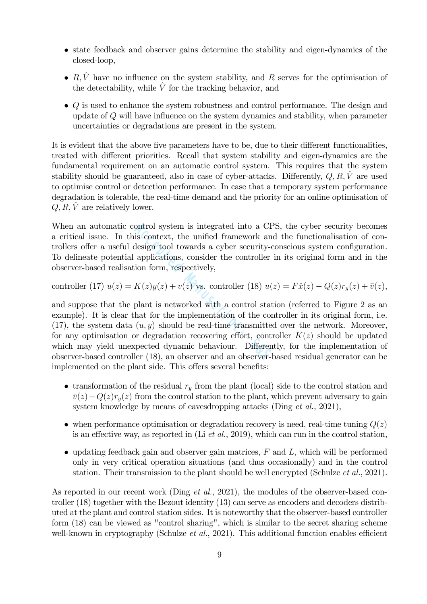- state feedback and observer gains determine the stability and eigen-dynamics of the closed-loop,
- $R, \hat{V}$  have no influence on the system stability, and R serves for the optimisation of the detectability, while  $\hat{V}$  for the tracking behavior, and
- Q is used to enhance the system robustness and control performance. The design and update of Q will have influence on the system dynamics and stability, when parameter uncertainties or degradations are present in the system.

It is evident that the above five parameters have to be, due to their different functionalities, treated with different priorities. Recall that system stability and eigen-dynamics are the fundamental requirement on an automatic control system. This requires that the system stability should be guaranteed, also in case of cyber-attacks. Differently,  $Q, R, \hat{V}$  are used to optimise control or detection performance. In case that a temporary system performance degradation is tolerable, the real-time demand and the priority for an online optimisation of  $Q, R, V$  are relatively lower.

When an automatic control system is integrated into a CPS, the cyber security becomes a critical issue. In this context, the unified framework and the functionalisation of controllers offer a useful design tool towards a cyber security-conscious system configuration. To delineate potential applications, consider the controller in its original form and in the observer-based realisation form, respectively,

controller (17) 
$$
u(z) = K(z)y(z) + v(z)
$$
 vs. controller (18)  $u(z) = F\hat{x}(z) - Q(z)r_y(z) + \bar{v}(z)$ ,

and suppose that the plant is networked with a control station (referred to Figure 2 as an example). It is clear that for the implementation of the controller in its original form, i.e. (17), the system data  $(u, y)$  should be real-time transmitted over the network. Moreover, for any optimisation or degradation recovering effort, controller  $K(z)$  should be updated which may yield unexpected dynamic behaviour. Differently, for the implementation of observer-based controller (18), an observer and an observer-based residual generator can be implemented on the plant side. This offers several benefits: ontrol system is integrated into a CF<br>is context, the unified framework and<br>design tool towards a cyber security-c<br>applications, consider the controller<br>ion form, respectively,<br> $K(z)y(z) + v(z)$  vs. controller (18)  $u$ <br>plant is

- transformation of the residual  $r_y$  from the plant (local) side to the control station and  $\bar{v}(z)-Q(z)r_{y}(z)$  from the control station to the plant, which prevent adversary to gain system knowledge by means of eavesdropping attacks (Ding *et al.*, 2021),
- when performance optimisation or degradation recovery is need, real-time tuning  $Q(z)$ is an effective way, as reported in  $(Li \text{ et } al., 2019)$ , which can run in the control station,
- updating feedback gain and observer gain matrices,  $F$  and  $L$ , which will be performed only in very critical operation situations (and thus occasionally) and in the control station. Their transmission to the plant should be well encrypted (Schulze *et al.*, 2021).

As reported in our recent work (Ding *et al.*, 2021), the modules of the observer-based controller (18) together with the Bezout identity (13) can serve as encoders and decoders distributed at the plant and control station sides. It is noteworthy that the observer-based controller form (18) can be viewed as "control sharing", which is similar to the secret sharing scheme well-known in cryptography (Schulze *et al.*, 2021). This additional function enables efficient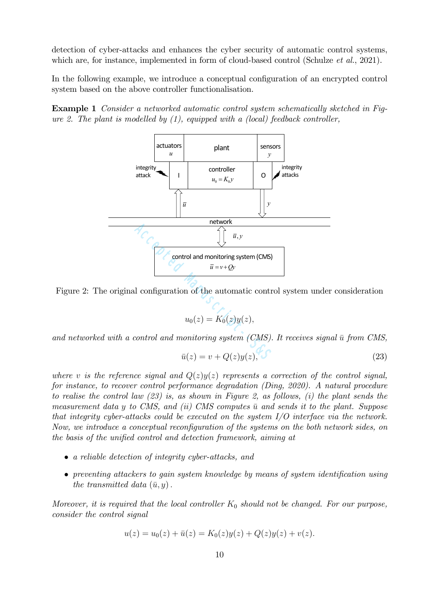detection of cyber-attacks and enhances the cyber security of automatic control systems, which are, for instance, implemented in form of cloud-based control (Schulze *et al.*, 2021).

In the following example, we introduce a conceptual configuration of an encrypted control system based on the above controller functionalisation.

Example 1 Consider a networked automatic control system schematically sketched in Figure 2. The plant is modelled by  $(1)$ , equipped with a  $(local)$  feedback controller,



Figure 2: The original configuration of the automatic control system under consideration

$$
u_0(z) = K_0(z)y(z),
$$

and networked with a control and monitoring system  $(CMS)$ . It receives signal  $\bar{u}$  from CMS,

$$
\bar{u}(z) = v + Q(z)y(z), \tag{23}
$$

where v is the reference signal and  $Q(z)y(z)$  represents a correction of the control signal, for instance, to recover control performance degradation (Ding, 2020). A natural procedure to realise the control law  $(23)$  is, as shown in Figure 2, as follows, (i) the plant sends the measurement data y to CMS, and (ii) CMS computes  $\bar{u}$  and sends it to the plant. Suppose that integrity cyber-attacks could be executed on the system  $I/O$  interface via the network. Now, we introduce a conceptual reconfiguration of the systems on the both network sides, on the basis of the unified control and detection framework, aiming at

- a reliable detection of integrity cyber-attacks, and
- preventing attackers to gain system knowledge by means of system identification using the transmitted data  $(\bar{u}, y)$ .

Moreover, it is required that the local controller  $K_0$  should not be changed. For our purpose, consider the control signal

$$
u(z) = u_0(z) + \bar{u}(z) = K_0(z)y(z) + Q(z)y(z) + v(z).
$$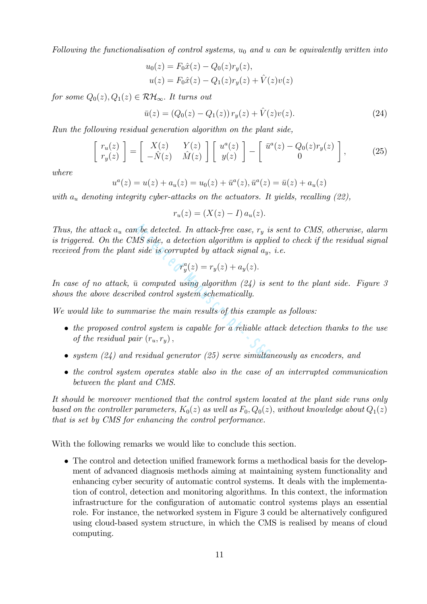Following the functionalisation of control systems,  $u_0$  and u can be equivalently written into

$$
u_0(z) = F_0 \hat{x}(z) - Q_0(z)r_y(z),
$$
  

$$
u(z) = F_0 \hat{x}(z) - Q_1(z)r_y(z) + \hat{V}(z)v(z)
$$

for some  $Q_0(z), Q_1(z) \in \mathcal{RH}_{\infty}$ . It turns out

$$
\bar{u}(z) = (Q_0(z) - Q_1(z)) r_y(z) + \hat{V}(z)v(z).
$$
\n(24)

Run the following residual generation algorithm on the plant side,

$$
\begin{bmatrix} r_u(z) \\ r_y(z) \end{bmatrix} = \begin{bmatrix} X(z) & Y(z) \\ -\hat{N}(z) & \hat{M}(z) \end{bmatrix} \begin{bmatrix} u^a(z) \\ y(z) \end{bmatrix} - \begin{bmatrix} \bar{u}^a(z) - Q_0(z)r_y(z) \\ 0 \end{bmatrix},
$$
 (25)

where

$$
u^{a}(z) = u(z) + a_{u}(z) = u_{0}(z) + \bar{u}^{a}(z), \bar{u}^{a}(z) = \bar{u}(z) + a_{u}(z)
$$

with  $a_u$  denoting integrity cyber-attacks on the actuators. It yields, recalling (22),

$$
r_u(z) = (X(z) - I) a_u(z).
$$

Thus, the attack  $a_u$  can be detected. In attack-free case,  $r_y$  is sent to CMS, otherwise, alarm is triggered. On the CMS side, a detection algorithm is applied to check if the residual signal received from the plant side is corrupted by attack signal  $a_y$ , i.e. *n* be detected. In attack-free case,  $r_y$  is<br>
MS side, a detection algorithm is applicity side is corrupted by attack signal  $a_y$ ,<br>  $r_y^a(z) = r_y(z) + a_y(z)$ .<br>  $\bar{u}$  computed using algorithm (24) is so<br>
bed control system sch

$$
r_y^a(z) = r_y(z) + a_y(z).
$$

In case of no attack,  $\bar{u}$  computed using algorithm (24) is sent to the plant side. Figure 3 shows the above described control system schematically.

We would like to summarise the main results of this example as follows:

- the proposed control system is capable for a reliable attack detection thanks to the use of the residual pair  $(r_u, r_y)$ ,
- system  $(24)$  and residual generator  $(25)$  serve simultaneously as encoders, and
- the control system operates stable also in the case of an interrupted communication between the plant and CMS.

It should be moreover mentioned that the control system located at the plant side runs only based on the controller parameters,  $K_0(z)$  as well as  $F_0$ ,  $Q_0(z)$ , without knowledge about  $Q_1(z)$ that is set by CMS for enhancing the control performance.

With the following remarks we would like to conclude this section.

• The control and detection unified framework forms a methodical basis for the development of advanced diagnosis methods aiming at maintaining system functionality and enhancing cyber security of automatic control systems. It deals with the implementation of control, detection and monitoring algorithms. In this context, the information infrastructure for the configuration of automatic control systems plays an essential role. For instance, the networked system in Figure 3 could be alternatively configured using cloud-based system structure, in which the CMS is realised by means of cloud computing.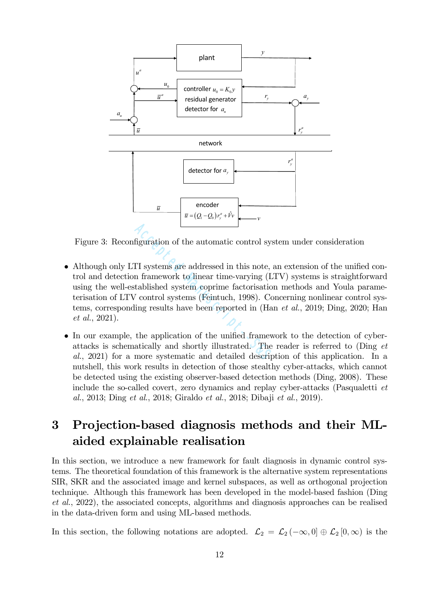

Figure 3: Reconfiguration of the automatic control system under consideration

- Although only LTI systems are addressed in this note, an extension of the unified control and detection framework to linear time-varying (LTV) systems is straightforward using the well-established system coprime factorisation methods and Youla parameterisation of LTV control systems (Feintuch, 1998). Concerning nonlinear control systems, corresponding results have been reported in (Han et al., 2019; Ding, 2020; Han et al., 2021). figuration of the automatic control sys<br>
II systems are addressed in this note,<br>
in framework to linear time-varying (L<br>
tablished system coprime factorisatio<br>
<sup>7</sup> control systems (Feintuch, 1998). Co<br>
ling results have be
- In our example, the application of the unified framework to the detection of cyberattacks is schematically and shortly illustrated. The reader is referred to (Ding et al., 2021) for a more systematic and detailed description of this application. In a nutshell, this work results in detection of those stealthy cyber-attacks, which cannot be detected using the existing observer-based detection methods (Ding, 2008). These include the so-called covert, zero dynamics and replay cyber-attacks (Pasqualetti et al., 2013; Ding et al., 2018; Giraldo et al., 2018; Dibaji et al., 2019).

## 3 Projection-based diagnosis methods and their MLaided explainable realisation

In this section, we introduce a new framework for fault diagnosis in dynamic control systems. The theoretical foundation of this framework is the alternative system representations SIR, SKR and the associated image and kernel subspaces, as well as orthogonal projection technique. Although this framework has been developed in the model-based fashion (Ding et al., 2022), the associated concepts, algorithms and diagnosis approaches can be realised in the data-driven form and using ML-based methods.

In this section, the following notations are adopted.  $\mathcal{L}_2 = \mathcal{L}_2(-\infty, 0] \oplus \mathcal{L}_2[0, \infty)$  is the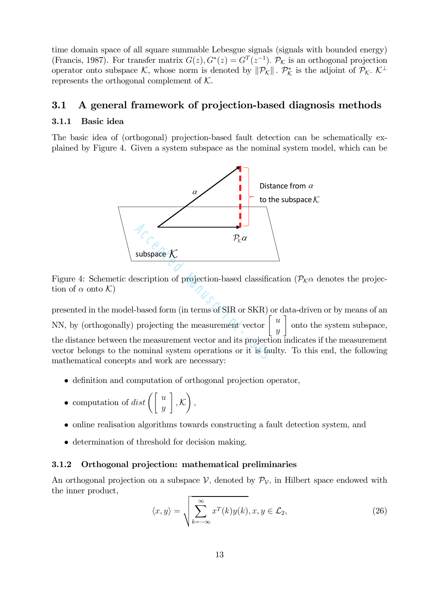time domain space of all square summable Lebesgue signals (signals with bounded energy) (Francis, 1987). For transfer matrix  $G(z)$ ,  $G^*(z) = G^T(z^{-1})$ .  $\mathcal{P}_{\mathcal{K}}$  is an orthogonal projection operator onto subspace K, whose norm is denoted by  $\|\mathcal{P}_\mathcal{K}\|$ .  $\mathcal{P}_\mathcal{K}^*$  is the adjoint of  $\mathcal{P}_\mathcal{K}$ .  $\mathcal{K}^\perp$ represents the orthogonal complement of  $K$ .

#### 3.1 A general framework of projection-based diagnosis methods

#### 3.1.1 Basic idea

The basic idea of (orthogonal) projection-based fault detection can be schematically explained by Figure 4. Given a system subspace as the nominal system model, which can be



Figure 4: Schemetic description of projection-based classification ( $\mathcal{P}_K \alpha$  denotes the projection of  $\alpha$  onto  $\mathcal{K}$ )

presented in the model-based form (in terms of SIR or SKR) or data-driven or by means of an NN, by (orthogonally) projecting the measurement vector u  $\hat{y}$ 1 onto the system subspace, the distance between the measurement vector and its projection indicates if the measurement vector belongs to the nominal system operations or it is faulty. To this end, the following mathematical concepts and work are necessary:  $P_{\kappa} \alpha$ <br>
subspace  $K$ <br>
escription of projection-based classific:<br>
-based form (in terms of SIR or SKR) c<br>
projecting the measurement vector  $\begin{bmatrix} 1 & 0 & 0 \\ 0 & 0 & 0 \\ 0 & 0 & 0 \\ 0 & 0 & 0 & 0 \\ 0 & 0 & 0 & 0 \\ 0 & 0 & 0 & 0 \\ 0 & 0 & 0$ 

- definition and computation of orthogonal projection operator,
- computation of  $dist\left(\begin{bmatrix} u \\ y \end{bmatrix}\right)$ 1  $, \mathcal{K}$  $\Big),$
- online realisation algorithms towards constructing a fault detection system, and
- determination of threshold for decision making.

#### 3.1.2 Orthogonal projection: mathematical preliminaries

An orthogonal projection on a subspace  $V$ , denoted by  $\mathcal{P}_V$ , in Hilbert space endowed with the inner product,

$$
\langle x, y \rangle = \sqrt{\sum_{k=-\infty}^{\infty} x^T(k)y(k)}, x, y \in \mathcal{L}_2,
$$
\n(26)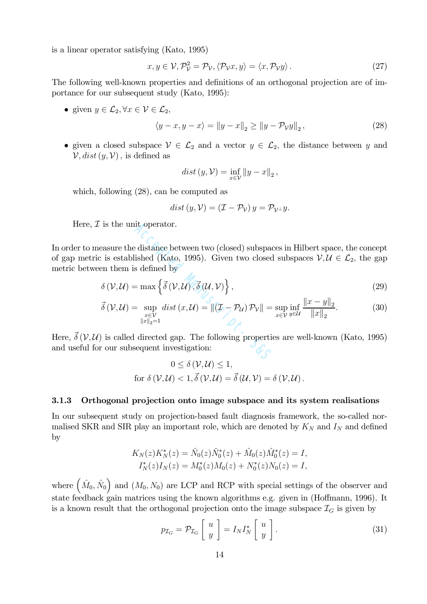is a linear operator satisfying (Kato, 1995)

$$
x, y \in \mathcal{V}, \mathcal{P}_{\mathcal{V}}^2 = \mathcal{P}_{\mathcal{V}}, \langle \mathcal{P}_{\mathcal{V}} x, y \rangle = \langle x, \mathcal{P}_{\mathcal{V}} y \rangle. \tag{27}
$$

The following well-known properties and definitions of an orthogonal projection are of importance for our subsequent study (Kato, 1995):

• given  $y \in \mathcal{L}_2, \forall x \in \mathcal{V} \in \mathcal{L}_2$ ,

$$
\langle y - x, y - x \rangle = \|y - x\|_2 \ge \|y - \mathcal{P}_V y\|_2, \tag{28}
$$

• given a closed subspace  $V \in \mathcal{L}_2$  and a vector  $y \in \mathcal{L}_2$ , the distance between y and  $\mathcal{V}, dist(y, \mathcal{V})$ , is defined as

$$
dist (y, \mathcal{V}) = \inf_{x \in \mathcal{V}} ||y - x||_2,
$$

which, following (28), can be computed as

$$
dist(y, V) = (\mathcal{I} - \mathcal{P}_V) y = \mathcal{P}_{V^{\perp}} y.
$$

Here,  $\mathcal I$  is the unit operator.

In order to measure the distance between two (closed) subspaces in Hilbert space, the concept of gap metric is established (Kato, 1995). Given two closed subspaces  $V, U \in \mathcal{L}_2$ , the gap metric between them is defined by acception of the distance between two (closed) subspace<br>
ished (Kato, 1995). Given two closed<br>
s defined by<br>  $= \max \left\{ \vec{\delta}(\mathcal{V}, \mathcal{U}), \vec{\delta}(\mathcal{U}, \mathcal{V}) \right\},$ <br>  $= \sup_{\substack{x \in \mathcal{V} \\ \|x\|_2 = 1}} dist(x, \mathcal{U}) = \|(\mathcal{I} - \mathcal{P}_{\mathcal{U}}) \mathcal{$ 

$$
\delta(\mathcal{V}, \mathcal{U}) = \max \left\{ \vec{\delta}(\mathcal{V}, \mathcal{U}), \vec{\delta}(\mathcal{U}, \mathcal{V}) \right\},\tag{29}
$$

$$
\vec{\delta}(\mathcal{V}, \mathcal{U}) = \sup_{\substack{x \in \mathcal{V} \\ \|x\|_2 = 1}} dist(x, \mathcal{U}) = \|(\mathcal{I} - \mathcal{P}_{\mathcal{U}})\mathcal{P}_{\mathcal{V}}\| = \sup_{x \in \mathcal{V}} \inf_{y \in \mathcal{U}} \frac{\|x - y\|_2}{\|x\|_2}.
$$
(30)

Here,  $\vec{\delta}$  (V, U) is called directed gap. The following properties are well-known (Kato, 1995) and useful for our subsequent investigation:

$$
0 \leq \delta(\mathcal{V}, \mathcal{U}) \leq 1,
$$
  
for  $\delta(\mathcal{V}, \mathcal{U}) < 1$ ,  $\vec{\delta}(\mathcal{V}, \mathcal{U}) = \vec{\delta}(\mathcal{U}, \mathcal{V}) = \delta(\mathcal{V}, \mathcal{U})$ .

#### 3.1.3 Orthogonal projection onto image subspace and its system realisations

In our subsequent study on projection-based fault diagnosis framework, the so-called normalised SKR and SIR play an important role, which are denoted by  $K_N$  and  $I_N$  and defined by

$$
K_N(z)K_N^*(z) = \hat{N}_0(z)\hat{N}_0^*(z) + \hat{M}_0(z)\hat{M}_0^*(z) = I,
$$
  

$$
I_N^*(z)I_N(z) = M_0^*(z)M_0(z) + N_0^*(z)N_0(z) = I,
$$

where  $(\hat{M}_0, \hat{N}_0)$  and  $(M_0, N_0)$  are LCP and RCP with special settings of the observer and state feedback gain matrices using the known algorithms e.g. given in (Hoffmann, 1996). It is a known result that the orthogonal projection onto the image subspace  $\mathcal{I}_G$  is given by

$$
p_{\mathcal{I}_G} = \mathcal{P}_{\mathcal{I}_G} \left[ \begin{array}{c} u \\ y \end{array} \right] = I_N I_N^* \left[ \begin{array}{c} u \\ y \end{array} \right]. \tag{31}
$$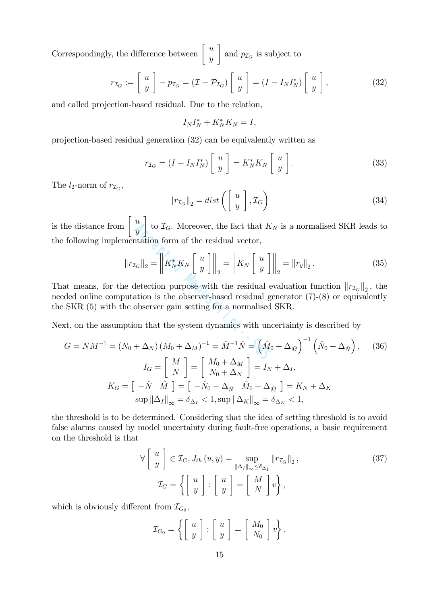Correspondingly, the difference between  $\begin{bmatrix} u \\ w \end{bmatrix}$  $\overline{y}$ 1 and  $p_{\mathcal{I}_G}$  is subject to

$$
r_{\mathcal{I}_G} := \left[ \begin{array}{c} u \\ y \end{array} \right] - p_{\mathcal{I}_G} = (\mathcal{I} - \mathcal{P}_{\mathcal{I}_G}) \left[ \begin{array}{c} u \\ y \end{array} \right] = (I - I_N I_N^*) \left[ \begin{array}{c} u \\ y \end{array} \right],\tag{32}
$$

and called projection-based residual. Due to the relation,

$$
I_N I_N^* + K_N^* K_N = I,
$$

projection-based residual generation (32) can be equivalently written as

$$
r_{\mathcal{I}_G} = (I - I_N I_N^*) \begin{bmatrix} u \\ y \end{bmatrix} = K_N^* K_N \begin{bmatrix} u \\ y \end{bmatrix}.
$$
 (33)

The  $l_2$ -norm of  $r_{\mathcal{I}_G}$ ,

$$
\|r_{\mathcal{I}_G}\|_2 = dist\left(\left[\begin{array}{c} u \\ y \end{array}\right], \mathcal{I}_G\right) \tag{34}
$$

is the distance from  $\begin{bmatrix} u \\ v \end{bmatrix}$  $\overline{y}$ 1 to  $\mathcal{I}_G$ . Moreover, the fact that  $K_N$  is a normalised SKR leads to the following implementation form of the residual vector,

$$
\begin{aligned}\n\left[\begin{array}{c}\n\ddot{y} \\
\dot{y}\n\end{array}\right] &\text{to } \mathcal{I}_G. \text{ Moreover, the fact that } K_N \text{ is a normalised SKR leads to} \\
\text{mentation form of the residual vector,} \\
\left\|r_{\mathcal{I}_G}\right\|_2 &= \left\|K_N^* K_N \begin{bmatrix} u \\
y \end{bmatrix}\right\|_2 = \left\|K_N \begin{bmatrix} u \\
y \end{bmatrix}\right\|_2 = \left\|r_y\right\|_2. \tag{35} \\
\text{we detection purpose with the residual evaluation function } \|r_{\mathcal{I}_G}\|_2, \text{ the} \\
\text{putation is the observer-based residual generator (7)-(8) or equivalently} \\
\text{the observer gain setting for a normalised SKR.} \\
\text{ption that the system dynamics with uncertainty is described by} \\
N_0 + \Delta_N \left(M_0 + \Delta_M\right)^{-1} &= \hat{M}^{-1} \hat{N} = \left(\hat{M}_0 + \Delta_{\hat{M}}\right)^{-1} \left(\hat{N}_0 + \Delta_{\hat{N}}\right), \tag{36}\n\end{aligned}
$$

That means, for the detection purpose with the residual evaluation function  $||r_{\mathcal{I}_G}||_2$ , the needed online computation is the observer-based residual generator (7)-(8) or equivalently the SKR (5) with the observer gain setting for a normalised SKR.

Next, on the assumption that the system dynamics with uncertainty is described by

$$
G = NM^{-1} = (N_0 + \Delta_N) (M_0 + \Delta_M)^{-1} = \hat{M}^{-1}\hat{N} = \left(\hat{M}_0 + \Delta_{\hat{M}}\right)^{-1} \left(\hat{N}_0 + \Delta_{\hat{N}}\right), \quad (36)
$$

$$
I_G = \begin{bmatrix} M \\ N \end{bmatrix} = \begin{bmatrix} M_0 + \Delta_M \\ N_0 + \Delta_N \end{bmatrix} = I_N + \Delta_I,
$$

$$
K_G = \begin{bmatrix} -\hat{N} & \hat{M} \end{bmatrix} = \begin{bmatrix} -\hat{N}_0 - \Delta_{\hat{N}} & \hat{M}_0 + \Delta_{\hat{M}} \end{bmatrix} = K_N + \Delta_K
$$

$$
\sup \|\Delta_I\|_{\infty} = \delta_{\Delta_I} < 1, \sup \|\Delta_K\|_{\infty} = \delta_{\Delta_K} < 1,
$$

the threshold is to be determined. Considering that the idea of setting threshold is to avoid false alarms caused by model uncertainty during fault-free operations, a basic requirement on the threshold is that

$$
\forall \begin{bmatrix} u \\ y \end{bmatrix} \in \mathcal{I}_G, J_{th}(u, y) = \sup_{\|\Delta_I\|_{\infty} \le \delta_{\Delta_I}} \|r_{\mathcal{I}_G}\|_2, \tag{37}
$$

$$
\mathcal{I}_G = \left\{ \begin{bmatrix} u \\ y \end{bmatrix} : \begin{bmatrix} u \\ y \end{bmatrix} = \begin{bmatrix} M \\ N \end{bmatrix} v \right\},
$$

which is obviously different from  $\mathcal{I}_{G_0}$ ,

$$
\mathcal{I}_{G_0} = \left\{ \left[ \begin{array}{c} u \\ y \end{array} \right] : \left[ \begin{array}{c} u \\ y \end{array} \right] = \left[ \begin{array}{c} M_0 \\ N_0 \end{array} \right] v \right\}.
$$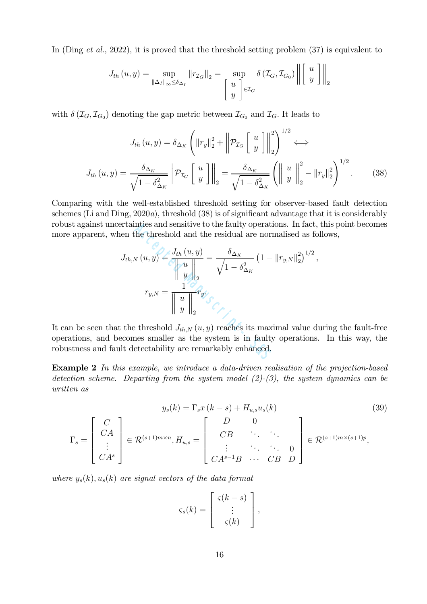In (Ding *et al.*, 2022), it is proved that the threshold setting problem (37) is equivalent to

$$
J_{th}(u, y) = \sup_{\|\Delta_I\|_{\infty} \le \delta_{\Delta_I}} \|r_{\mathcal{I}_G}\|_2 = \sup_{\begin{bmatrix} u \\ y \end{bmatrix} \in \mathcal{I}_G} \delta(\mathcal{I}_G, \mathcal{I}_{G_0}) \left\| \begin{bmatrix} u \\ y \end{bmatrix} \right\|_2
$$

with  $\delta(\mathcal{I}_G, \mathcal{I}_{G_0})$  denoting the gap metric between  $\mathcal{I}_{G_0}$  and  $\mathcal{I}_G$ . It leads to

$$
J_{th}(u, y) = \delta_{\Delta_K} \left( \left\| r_y \right\|_2^2 + \left\| \mathcal{P}_{\mathcal{I}_G} \left[ \begin{array}{c} u \\ y \end{array} \right] \right\|_2^2 \right)^{1/2} \Longleftrightarrow
$$

$$
J_{th}(u, y) = \frac{\delta_{\Delta_K}}{\sqrt{1 - \delta_{\Delta_K}^2}} \left\| \mathcal{P}_{\mathcal{I}_G} \left[ \begin{array}{c} u \\ y \end{array} \right] \right\|_2 = \frac{\delta_{\Delta_K}}{\sqrt{1 - \delta_{\Delta_K}^2}} \left( \left\| \begin{array}{c} u \\ y \end{array} \right\|_2^2 - \left\| r_y \right\|_2^2 \right)^{1/2} . \tag{38}
$$

Comparing with the well-established threshold setting for observer-based fault detection schemes (Li and Ding, 2020a), threshold (38) is of significant advantage that it is considerably robust against uncertainties and sensitive to the faulty operations. In fact, this point becomes more apparent, when the threshold and the residual are normalised as follows,

ertainties and sensitive to the faulty operations. In fact, en the threshold and the residual are normalised as for

\n
$$
J_{th,N}(u, y) = \frac{J_{th}(u, y)}{\left\| u \right\|_2} = \frac{\delta_{\Delta_K}}{\sqrt{1 - \delta_{\Delta_K}^2}} \left( 1 - \left\| r_{y,N} \right\|_2^2 \right)^{1/2},
$$
\n
$$
r_{y,N} = \frac{1}{\left\| u \right\|_2} r_y.
$$
\nthe threshold  $J_{th,N}(u, y)$  reaches its maximal value d-  
ecomes smaller as the system is in faulty operations.

\nIt detectability are remarkably enhanced.

It can be seen that the threshold  $J_{th,N}(u, y)$  reaches its maximal value during the fault-free operations, and becomes smaller as the system is in faulty operations. In this way, the robustness and fault detectability are remarkably enhanced.

Example 2 In this example, we introduce a data-driven realisation of the projection-based detection scheme. Departing from the system model  $(2)-(3)$ , the system dynamics can be written as

$$
y_s(k) = \Gamma_s x (k - s) + H_{u,s} u_s(k)
$$
\n
$$
\Gamma_s = \begin{bmatrix} C \\ CA \\ \vdots \\ CA^s \end{bmatrix} \in \mathcal{R}^{(s+1)m \times n}, H_{u,s} = \begin{bmatrix} D & 0 \\ CB & \ddots & \ddots \\ \vdots & \ddots & \ddots & 0 \\ CA^{s-1}B & \cdots & CB & D \end{bmatrix} \in \mathcal{R}^{(s+1)m \times (s+1)p},
$$
\n(39)

where  $y_s(k)$ ,  $u_s(k)$  are signal vectors of the data format

$$
\varsigma_s(k) = \left[ \begin{array}{c} \varsigma(k-s) \\ \vdots \\ \varsigma(k) \end{array} \right],
$$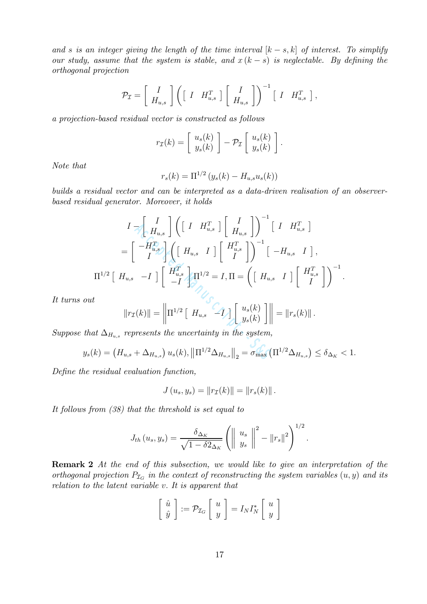and s is an integer giving the length of the time interval  $[k-s, k]$  of interest. To simplify our study, assume that the system is stable, and  $x (k - s)$  is neglectable. By defining the orthogonal projection

$$
\mathcal{P}_{\mathcal{I}} = \left[ \begin{array}{c} I \\ H_{u,s} \end{array} \right] \left( \left[ \begin{array}{cc} I & H_{u,s}^T \end{array} \right] \left[ \begin{array}{c} I \\ H_{u,s} \end{array} \right] \right)^{-1} \left[ \begin{array}{cc} I & H_{u,s}^T \end{array} \right],
$$

a projection-based residual vector is constructed as follows

$$
r_{\mathcal{I}}(k) = \left[ \begin{array}{c} u_s(k) \\ y_s(k) \end{array} \right] - \mathcal{P}_{\mathcal{I}} \left[ \begin{array}{c} u_s(k) \\ y_s(k) \end{array} \right].
$$

Note that

$$
r_s(k) = \Pi^{1/2} (y_s(k) - H_{u,s} u_s(k))
$$

builds a residual vector and can be interpreted as a data-driven realisation of an observerbased residual generator. Moreover, it holds

$$
I = \begin{bmatrix} I \\ H_{u,s} \end{bmatrix} \left( \begin{bmatrix} I & H_{u,s}^T \end{bmatrix} \begin{bmatrix} I \\ H_{u,s} \end{bmatrix} \right)^{-1} \begin{bmatrix} I & H_{u,s}^T \end{bmatrix}
$$
  
\n
$$
= \begin{bmatrix} -H_{u,s}^T \\ I \end{bmatrix} \left( \begin{bmatrix} H_{u,s} & I \end{bmatrix} \begin{bmatrix} H_{u,s}^T \\ I \end{bmatrix} \right)^{-1} \begin{bmatrix} -H_{u,s} & I \end{bmatrix},
$$
  
\n
$$
\Pi^{1/2} \begin{bmatrix} H_{u,s} & -I \end{bmatrix} \begin{bmatrix} H_{u,s}^T \\ -I \end{bmatrix} \begin{bmatrix} \Pi^{1/2} = I, \Pi = \begin{bmatrix} H_{u,s} & I \end{bmatrix} \begin{bmatrix} H_{u,s}^T \\ I \end{bmatrix} \end{bmatrix}^{-1}
$$
  
\n
$$
\|r_{\mathcal{I}}(k)\| = \left\| \Pi^{1/2} \begin{bmatrix} H_{u,s} & -I \end{bmatrix} \begin{bmatrix} u_s(k) \\ y_s(k) \end{bmatrix} \right\| = \|r_s(k)\|.
$$
  
\n
$$
\mu_k = \mu_k + \Delta_{H_{u,s}}
$$
 represents the uncertainty in the system,  
\n
$$
k) = \left( H_{u,s} + \Delta_{H_{u,s}} \right) u_s(k), \|\Pi^{1/2} \Delta_{H_{u,s}}\|_2 = \sigma_{\max} \left( \Pi^{1/2} \Delta_{H_{u,s}} \right) \le \delta_{\Delta_K}
$$

.

It turns out

$$
||r_{\mathcal{I}}(k)|| = \left\| \Pi^{1/2} \left[ H_{u,s} \left[ \left[ \begin{array}{c} u_s(k) \\ y_s(k) \end{array} \right] \right] \right\| = ||r_s(k)||.
$$

Suppose that  $\Delta_{H_{u,s}}$  represents the uncertainty in the system,

$$
y_s(k) = (H_{u,s} + \Delta_{H_{u,s}}) u_s(k), ||\Pi^{1/2} \Delta_{H_{u,s}}||_2 = \sigma_{\max} (\Pi^{1/2} \Delta_{H_{u,s}}) \le \delta_{\Delta_K} < 1.
$$

Define the residual evaluation function,

$$
J(u_s, y_s) = ||r_{\mathcal{I}}(k)|| = ||r_s(k)||.
$$

It follows from (38) that the threshold is set equal to

$$
J_{th}\left(u_s,y_s\right) = \frac{\delta_{\Delta_K}}{\sqrt{1-\delta 2_{\Delta_K}}}\left(\left\|\begin{array}{c} u_s \\ y_s \end{array}\right\|^2 - \left\|r_s\right\|^2\right)^{1/2}.
$$

**Remark 2** At the end of this subsection, we would like to give an interpretation of the orthogonal projection  $P_{\mathcal{I}_G}$  in the context of reconstructing the system variables  $(u, y)$  and its relation to the latent variable v. It is apparent that

$$
\left[\begin{array}{c}\hat{u} \\ \hat{y}\end{array}\right] := \mathcal{P}_{\mathcal{I}_G} \left[\begin{array}{c}u \\ y\end{array}\right] = I_N I_N^* \left[\begin{array}{c}u \\ y\end{array}\right]
$$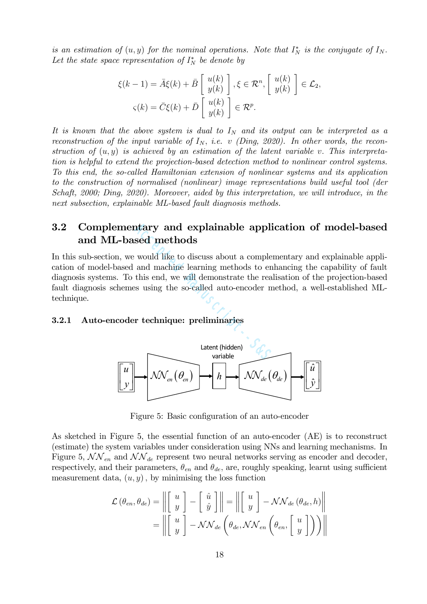is an estimation of  $(u, y)$  for the nominal operations. Note that  $I_N^*$  is the conjugate of  $I_N$ . Let the state space representation of  $I_N^*$  be denote by

$$
\xi(k-1) = \bar{A}\xi(k) + \bar{B}\begin{bmatrix} u(k) \\ y(k) \end{bmatrix}, \xi \in \mathcal{R}^n, \begin{bmatrix} u(k) \\ y(k) \end{bmatrix} \in \mathcal{L}_2,
$$
  

$$
\varsigma(k) = \bar{C}\xi(k) + \bar{D}\begin{bmatrix} u(k) \\ y(k) \end{bmatrix} \in \mathcal{R}^p.
$$

It is known that the above system is dual to  $I<sub>N</sub>$  and its output can be interpreted as a reconstruction of the input variable of  $I_N$ , i.e. v (Ding, 2020). In other words, the reconstruction of  $(u, y)$  is achieved by an estimation of the latent variable v. This interpretation is helpful to extend the projection-based detection method to nonlinear control systems. To this end, the so-called Hamiltonian extension of nonlinear systems and its application to the construction of normalised (nonlinear) image representations build useful tool (der Schaft, 2000; Ding, 2020). Moreover, aided by this interpretation, we will introduce, in the next subsection, explainable ML-based fault diagnosis methods.

### 3.2 Complementary and explainable application of model-based and ML-based methods

In this sub-section, we would like to discuss about a complementary and explainable application of model-based and machine learning methods to enhancing the capability of fault diagnosis systems. To this end, we will demonstrate the realisation of the projection-based fault diagnosis schemes using the so-called auto-encoder method, a well-established MLtechnique. nethods<br>sed methods<br>would like to discuss about a comple:<br>and machine learning methods to en<br>this end, we will demonstrate the rea<br>se using the so-called auto-encoder m<br>r technique: preliminaries<br>Latent (hidden)<br>variable

#### 3.2.1 Auto-encoder technique: preliminaries



Figure 5: Basic configuration of an auto-encoder

As sketched in Figure 5, the essential function of an auto-encoder (AE) is to reconstruct (estimate) the system variables under consideration using NNs and learning mechanisms. In Figure 5,  $\mathcal{NN}_{en}$  and  $\mathcal{NN}_{de}$  represent two neural networks serving as encoder and decoder, respectively, and their parameters,  $\theta_{en}$  and  $\theta_{de}$ , are, roughly speaking, learnt using sufficient measurement data,  $(u, y)$ , by minimising the loss function

$$
\mathcal{L}(\theta_{en}, \theta_{de}) = \left\| \begin{bmatrix} u \\ y \end{bmatrix} - \begin{bmatrix} \hat{u} \\ \hat{y} \end{bmatrix} \right\| = \left\| \begin{bmatrix} u \\ y \end{bmatrix} - \mathcal{N}\mathcal{N}_{de}(\theta_{de}, h) \right\|
$$

$$
= \left\| \begin{bmatrix} u \\ y \end{bmatrix} - \mathcal{N}\mathcal{N}_{de}(\theta_{de}, \mathcal{NN}_{en}(\theta_{en}, \begin{bmatrix} u \\ y \end{bmatrix})) \right\|
$$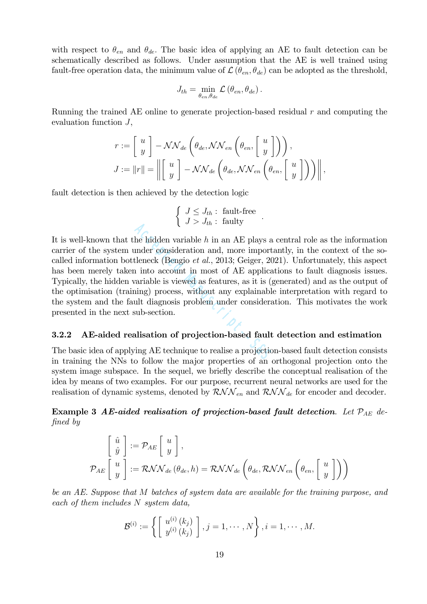with respect to  $\theta_{en}$  and  $\theta_{de}$ . The basic idea of applying an AE to fault detection can be schematically described as follows. Under assumption that the AE is well trained using fault-free operation data, the minimum value of  $\mathcal{L}(\theta_{en}, \theta_{de})$  can be adopted as the threshold,

$$
J_{th} = \min_{\theta_{en}, \theta_{de}} \mathcal{L}(\theta_{en}, \theta_{de}).
$$

Running the trained AE online to generate projection-based residual r and computing the evaluation function J,

$$
r := \begin{bmatrix} u \\ y \end{bmatrix} - \mathcal{NN}_{de} \left( \theta_{de}, \mathcal{NN}_{en} \left( \theta_{en}, \begin{bmatrix} u \\ y \end{bmatrix} \right) \right),
$$
  

$$
J := ||r|| = \left\| \begin{bmatrix} u \\ y \end{bmatrix} - \mathcal{NN}_{de} \left( \theta_{de}, \mathcal{NN}_{en} \left( \theta_{en}, \begin{bmatrix} u \\ y \end{bmatrix} \right) \right) \right\|,
$$

fault detection is then achieved by the detection logic

$$
\begin{cases} J \leq J_{th}: \text{ fault-free} \\ J > J_{th}: \text{ faulty} \end{cases}.
$$

It is well-known that the hidden variable  $h$  in an AE plays a central role as the information carrier of the system under consideration and, more importantly, in the context of the socalled information bottleneck (Bengio et al., 2013; Geiger, 2021). Unfortunately, this aspect has been merely taken into account in most of AE applications to fault diagnosis issues. Typically, the hidden variable is viewed as features, as it is (generated) and as the output of the optimisation (training) process, without any explainable interpretation with regard to the system and the fault diagnosis problem under consideration. This motivates the work presented in the next sub-section. ( $\sigma > \sigma_{th}$ . rating)<br>he hidden variable h in an AE plays a<br>under consideration and, more import<br>tleneck (Bengio *et al.*, 2013; Geiger, 20<br>n into account in most of AE applica<br>variable is viewed as features, as it is ( $\mu$ 

#### 3.2.2 AE-aided realisation of projection-based fault detection and estimation

The basic idea of applying AE technique to realise a projection-based fault detection consists in training the NNs to follow the major properties of an orthogonal projection onto the system image subspace. In the sequel, we briefly describe the conceptual realisation of the idea by means of two examples. For our purpose, recurrent neural networks are used for the realisation of dynamic systems, denoted by  $\mathcal{RNN}_{en}$  and  $\mathcal{RNN}_{de}$  for encoder and decoder.

Example 3 AE-aided realisation of projection-based fault detection. Let  $\mathcal{P}_{AE}$  defined by

$$
\begin{bmatrix} \hat{u} \\ \hat{y} \end{bmatrix} := \mathcal{P}_{AE} \begin{bmatrix} u \\ y \end{bmatrix},
$$
  

$$
\mathcal{P}_{AE} \begin{bmatrix} u \\ y \end{bmatrix} := \mathcal{RNN}_{de} (\theta_{de}, h) = \mathcal{RNN}_{de} \left( \theta_{de}, \mathcal{RNN}_{en} \left( \theta_{en}, \begin{bmatrix} u \\ y \end{bmatrix} \right) \right)
$$

be an AE. Suppose that M batches of system data are available for the training purpose, and each of them includes N system data,

$$
\mathcal{B}^{(i)} := \left\{ \left[ \begin{array}{c} u^{(i)}(k_j) \\ y^{(i)}(k_j) \end{array} \right], j = 1, \cdots, N \right\}, i = 1, \cdots, M.
$$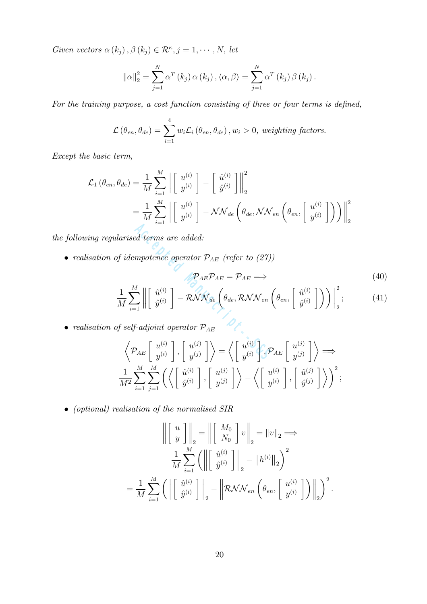Given vectors  $\alpha(k_j)$ ,  $\beta(k_j) \in \mathcal{R}^{\kappa}, j = 1, \cdots, N$ , let

$$
\|\alpha\|_2^2 = \sum_{j=1}^N \alpha^T(k_j) \alpha(k_j), \langle \alpha, \beta \rangle = \sum_{j=1}^N \alpha^T(k_j) \beta(k_j).
$$

For the training purpose, a cost function consisting of three or four terms is defined,

$$
\mathcal{L}(\theta_{en}, \theta_{de}) = \sum_{i=1}^{4} w_i \mathcal{L}_i(\theta_{en}, \theta_{de}), w_i > 0, weighting factors.
$$

Except the basic term,

$$
\mathcal{L}_{1}(\theta_{en}, \theta_{de}) = \frac{1}{M} \sum_{i=1}^{M} \left\| \begin{bmatrix} u^{(i)} \\ y^{(i)} \end{bmatrix} - \begin{bmatrix} \hat{u}^{(i)} \\ \hat{y}^{(i)} \end{bmatrix} \right\|_{2}^{2}
$$

$$
= \frac{1}{M} \sum_{i=1}^{M} \left\| \begin{bmatrix} u^{(i)} \\ y^{(i)} \end{bmatrix} - \mathcal{N} \mathcal{N}_{de} \left( \theta_{de}, \mathcal{NN}_{en} \left( \theta_{en}, \begin{bmatrix} u^{(i)} \\ y^{(i)} \end{bmatrix} \right) \right) \right\|_{2}^{2}
$$

the following regularised terms are added:

1

• realisation of idempotence operator  $\mathcal{P}_{AE}$  (refer to (27))

larrised terms are added:

\n
$$
f \text{ idempotence operator } \mathcal{P}_{AE} \text{ (refer to (27))}
$$
\n
$$
\mathcal{P}_{AE} \mathcal{P}_{AE} = \mathcal{P}_{AE} \Longrightarrow
$$
\n
$$
\frac{1}{M} \sum_{i=1}^{M} \left\| \begin{bmatrix} \hat{u}^{(i)} \\ \hat{y}^{(i)} \end{bmatrix} - \mathcal{RNN}_{de} \left( \theta_{de}, \mathcal{RNN}_{en} \left( \theta_{en}, \begin{bmatrix} \hat{u}^{(i)} \\ \hat{y}^{(i)} \end{bmatrix} \right) \right) \right\|_{2}^{2};
$$
\n(41)

\n
$$
f \text{ self-adjoint operator } \mathcal{P}_{AE}
$$
\n
$$
\left\langle \mathcal{P}_{AE} \begin{bmatrix} u^{(i)} \\ y^{(i)} \end{bmatrix}, \begin{bmatrix} u^{(j)} \\ y^{(j)} \end{bmatrix} \right\rangle = \left\langle \begin{bmatrix} u^{(i)} \\ y^{(i)} \end{bmatrix}, \mathcal{P}_{AE} \begin{bmatrix} u^{(j)} \\ y^{(j)} \end{bmatrix} \right\rangle \Longrightarrow
$$

 $\bullet~$  realisation of self-adjoint operator  $\mathcal{P}_{AE}$ 

$$
\left\langle \mathcal{P}_{AE} \left[ \begin{array}{c} u^{(i)} \\ y^{(i)} \end{array} \right], \left[ \begin{array}{c} u^{(j)} \\ y^{(j)} \end{array} \right] \right\rangle = \left\langle \left[ \begin{array}{c} u^{(i)} \\ y^{(i)} \end{array} \right], \mathcal{P}_{AE} \left[ \begin{array}{c} u^{(j)} \\ y^{(j)} \end{array} \right] \right\rangle \Longrightarrow
$$
  

$$
\frac{1}{M^2} \sum_{i=1}^{M} \sum_{j=1}^{M} \left( \left\langle \left[ \begin{array}{c} \hat{u}^{(i)} \\ \hat{y}^{(i)} \end{array} \right], \left[ \begin{array}{c} u^{(j)} \\ y^{(j)} \end{array} \right] \right\rangle - \left\langle \left[ \begin{array}{c} u^{(i)} \\ y^{(i)} \end{array} \right], \left[ \begin{array}{c} \hat{u}^{(j)} \\ \hat{y}^{(j)} \end{array} \right] \right\rangle \right)^2;
$$

• (optional) realisation of the normalised SIR

$$
\left\| \begin{bmatrix} u \\ y \end{bmatrix} \right\|_2 = \left\| \begin{bmatrix} M_0 \\ N_0 \end{bmatrix} v \right\|_2 = \|v\|_2 \Longrightarrow
$$

$$
\frac{1}{M} \sum_{i=1}^M \left( \left\| \begin{bmatrix} \hat{u}^{(i)} \\ \hat{y}^{(i)} \end{bmatrix} \right\|_2 - \|h^{(i)}\|_2 \right)^2
$$

$$
= \frac{1}{M} \sum_{i=1}^M \left( \left\| \begin{bmatrix} \hat{u}^{(i)} \\ \hat{y}^{(i)} \end{bmatrix} \right\|_2 - \left\| \mathcal{RNN}_{en} \left( \theta_{en}, \begin{bmatrix} u^{(i)} \\ y^{(i)} \end{bmatrix} \right) \right\|_2 \right)^2.
$$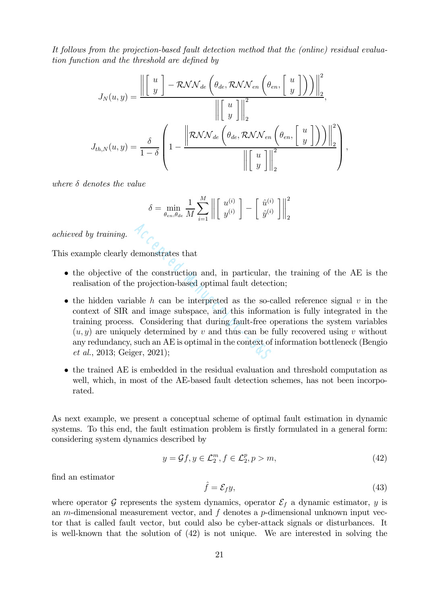It follows from the projection-based fault detection method that the (online) residual evaluation function and the threshold are defined by

$$
J_N(u, y) = \frac{\left\| \begin{bmatrix} u \\ y \end{bmatrix} - \mathcal{RNN}_{de} \left( \theta_{de}, \mathcal{RNN}_{en} \left( \theta_{en}, \begin{bmatrix} u \\ y \end{bmatrix} \right) \right) \right\|_2^2}{\left\| \begin{bmatrix} u \\ y \end{bmatrix} \right\|_2^2},
$$

$$
J_{th, N}(u, y) = \frac{\delta}{1 - \delta} \left( 1 - \frac{\left\| \mathcal{RNN}_{de} \left( \theta_{de}, \mathcal{RNN}_{en} \left( \theta_{en}, \begin{bmatrix} u \\ y \end{bmatrix} \right) \right) \right\|_2^2}{\left\| \begin{bmatrix} u \\ y \end{bmatrix} \right\|_2^2},
$$

where  $\delta$  denotes the value

$$
\delta = \min_{\theta_{en}, \theta_{de}} \frac{1}{M} \sum_{i=1}^{M} \left\| \begin{bmatrix} u^{(i)} \\ y^{(i)} \end{bmatrix} - \begin{bmatrix} \hat{u}^{(i)} \\ \hat{y}^{(i)} \end{bmatrix} \right\|_2^2
$$

achieved by training.

This example clearly demonstrates that

- the objective of the construction and, in particular, the training of the AE is the realisation of the projection-based optimal fault detection;
- the hidden variable h can be interpreted as the so-called reference signal  $v$  in the context of SIR and image subspace, and this information is fully integrated in the training process. Considering that during fault-free operations the system variables  $(u, y)$  are uniquely determined by v and thus can be fully recovered using v without any redundancy, such an AE is optimal in the context of information bottleneck (Bengio et al., 2013; Geiger, 2021); demonstrates that<br>the construction and, in particular,<br>projection-based optimal fault detect<br>ble  $h$  can be interpreted as the so-c<br>and image subspace, and this informa<br>Considering that during fault-free of<br>ly determined
- the trained AE is embedded in the residual evaluation and threshold computation as well, which, in most of the AE-based fault detection schemes, has not been incorporated.

As next example, we present a conceptual scheme of optimal fault estimation in dynamic systems. To this end, the fault estimation problem is firstly formulated in a general form: considering system dynamics described by

$$
y = \mathcal{G}f, y \in \mathcal{L}_2^m, f \in \mathcal{L}_2^p, p > m,
$$
\n
$$
(42)
$$

find an estimator

$$
\hat{f} = \mathcal{E}_f y,\tag{43}
$$

where operator G represents the system dynamics, operator  $\mathcal{E}_f$  a dynamic estimator, y is an m-dimensional measurement vector, and  $f$  denotes a  $p$ -dimensional unknown input vector that is called fault vector, but could also be cyber-attack signals or disturbances. It is well-known that the solution of (42) is not unique. We are interested in solving the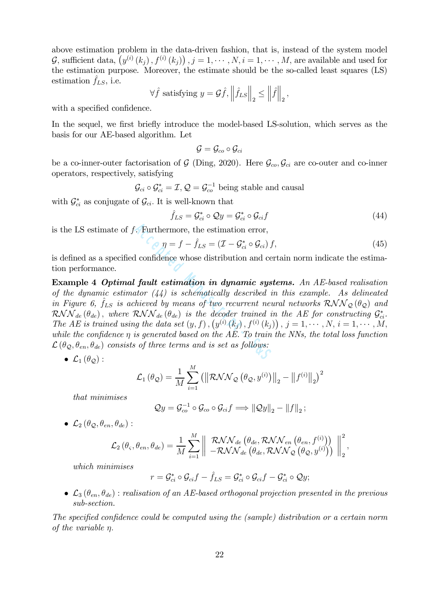above estimation problem in the data-driven fashion, that is, instead of the system model G, sufficient data,  $(y^{(i)}(k_j), f^{(i)}(k_j))$ ,  $j = 1, \dots, N$ ,  $i = 1, \dots, M$ , are available and used for the estimation purpose. Moreover, the estimate should be the so-called least squares (LS) estimation  $f_{LS}$ , i.e.

$$
\forall \hat{f} \text{ satisfying } y = \mathcal{G}\hat{f}, \left\|\hat{f}_{LS}\right\|_2 \le \left\|\hat{f}\right\|_2,
$$

with a specified confidence.

In the sequel, we first briefly introduce the model-based LS-solution, which serves as the basis for our AE-based algorithm. Let

$$
\mathcal{G} = \mathcal{G}_{co} \circ \mathcal{G}_{ci}
$$

be a co-inner-outer factorisation of  $G$  (Ding, 2020). Here  $\mathcal{G}_{co}, \mathcal{G}_{ci}$  are co-outer and co-inner operators, respectively, satisfying

 $\mathcal{G}_{ci} \circ \mathcal{G}_{ci}^* = \mathcal{I}, \mathcal{Q} = \mathcal{G}_{co}^{-1}$  being stable and causal

with  $\mathcal{G}_{ci}^*$  as conjugate of  $\mathcal{G}_{ci}$ . It is well-known that

$$
\hat{f}_{LS} = \mathcal{G}_{ci}^* \circ \mathcal{Q}y = \mathcal{G}_{ci}^* \circ \mathcal{G}_{ci}f \tag{44}
$$

is the LS estimate of f. Furthermore, the estimation error,

$$
\eta = f - \hat{f}_{LS} = (\mathcal{I} - \mathcal{G}_{ci}^* \circ \mathcal{G}_{ci}) f, \qquad (45)
$$

is defined as a specified confidence whose distribution and certain norm indicate the estimation performance.

Example 4 Optimal fault estimation in dynamic systems. An AE-based realisation of the dynamic estimator  $(44)$  is schematically described in this example. As delineated in Figure 6,  $\hat{f}_{LS}$  is achieved by means of two recurrent neural networks  $RNN_{\mathcal{Q}}(\theta_{\mathcal{Q}})$  and  $RNN_{de}(\theta_{de})$ , where  $RNN_{de}(\theta_{de})$  is the decoder trained in the AE for constructing  $\mathcal{G}_{ci}^*$ . The AE is trained using the data set  $(y, f)$ ,  $(y^{(i)}(k_j), f^{(i)}(k_j))$ ,  $j = 1, \dots, N$ ,  $i = 1, \dots, M$ , while the confidence  $\eta$  is generated based on the AE. To train the NNs, the total loss function  $\mathcal{L}(\theta_{\mathcal{Q}}, \theta_{en}, \theta_{de})$  consists of three terms and is set as follows: Furthermore, the estimation error,<br>  $\eta = f - \hat{f}_{LS} = (\mathcal{I} - \mathcal{G}_{ci}^* \circ \mathcal{G}_{ci}) f$ <br>
d confidence whose distribution and ce<br>
fault estimation in dynamic system (44) is schematically described if<br>
thieved by means of two recur

$$
\bullet \ \mathcal{L}_1(\theta_{\mathcal{Q}}):
$$

$$
\mathcal{L}_1(\theta_{\mathcal{Q}}) = \frac{1}{M} \sum_{i=1}^{M} ( \| \mathcal{RNN}_{\mathcal{Q}}(\theta_{\mathcal{Q}}, y^{(i)}) \|_2 - \| f^{(i)} \|_2 )^2
$$

that minimises

$$
\mathcal{Q}y = \mathcal{G}_{co}^{-1} \circ \mathcal{G}_{co} \circ \mathcal{G}_{ci}f \Longrightarrow ||\mathcal{Q}y||_2 - ||f||_2;
$$

•  $\mathcal{L}_2(\theta_{\mathcal{O}}, \theta_{en}, \theta_{de})$ :

$$
\mathcal{L}_2\left(\theta_{\varsigma}, \theta_{en}, \theta_{de}\right) = \frac{1}{M} \sum_{i=1}^M \left\| \begin{array}{c} \mathcal{RNN}_{de}\left(\theta_{de}, \mathcal{RNN}_{en}\left(\theta_{en}, f^{(i)}\right)\right) \\ -\mathcal{RNN}_{de}\left(\theta_{de}, \mathcal{RNN}_{\mathcal{Q}}\left(\theta_{\mathcal{Q}}, y^{(i)}\right)\right) \end{array} \right\|_2^2,
$$

which minimises

$$
r = \mathcal{G}_{ci}^* \circ \mathcal{G}_{ci} f - \hat{f}_{LS} = \mathcal{G}_{ci}^* \circ \mathcal{G}_{ci} f - \mathcal{G}_{ci}^* \circ \mathcal{Q}_y;
$$

•  $\mathcal{L}_3(\theta_{en}, \theta_{de})$ : realisation of an AE-based orthogonal projection presented in the previous sub-section.

The specified confidence could be computed using the (sample) distribution or a certain norm of the variable η.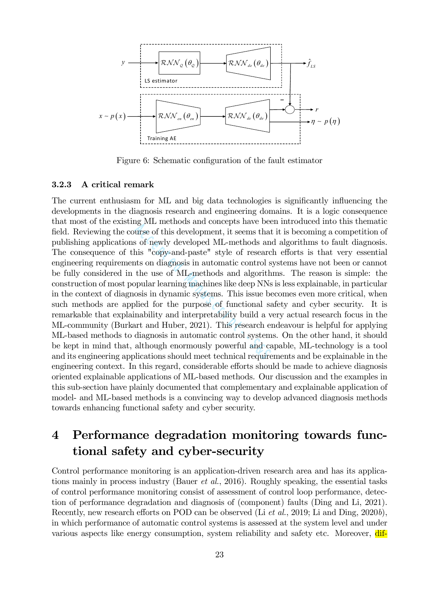

Figure 6: Schematic configuration of the fault estimator

#### 3.2.3 A critical remark

The current enthusiasm for ML and big data technologies is significantly influencing the developments in the diagnosis research and engineering domains. It is a logic consequence that most of the existing ML methods and concepts have been introduced into this thematic field. Reviewing the course of this development, it seems that it is becoming a competition of publishing applications of newly developed ML-methods and algorithms to fault diagnosis. The consequence of this "copy-and-paste" style of research efforts is that very essential engineering requirements on diagnosis in automatic control systems have not been or cannot be fully considered in the use of ML-methods and algorithms. The reason is simple: the construction of most popular learning machines like deep NNs is less explainable, in particular in the context of diagnosis in dynamic systems. This issue becomes even more critical, when such methods are applied for the purpose of functional safety and cyber security. It is remarkable that explainability and interpretability build a very actual research focus in the ML-community (Burkart and Huber, 2021). This research endeavour is helpful for applying ML-based methods to diagnosis in automatic control systems. On the other hand, it should be kept in mind that, although enormously powerful and capable, ML-technology is a tool and its engineering applications should meet technical requirements and be explainable in the engineering context. In this regard, considerable efforts should be made to achieve diagnosis oriented explainable applications of ML-based methods. Our discussion and the examples in this sub-section have plainly documented that complementary and explainable application of model- and ML-based methods is a convincing way to develop advanced diagnosis methods towards enhancing functional safety and cyber security. all methods and concepts have been urse of this development, it seems that<br>s of newly developed ML-methods and<br>his "copy-and-paste" style of research<br>ts on diagnosis in automatic control s;<br>the use of ML-methods and algori

## 4 Performance degradation monitoring towards functional safety and cyber-security

Control performance monitoring is an application-driven research area and has its applications mainly in process industry (Bauer et al., 2016). Roughly speaking, the essential tasks of control performance monitoring consist of assessment of control loop performance, detection of performance degradation and diagnosis of (component) faults (Ding and Li, 2021). Recently, new research efforts on POD can be observed (Li et al., 2019; Li and Ding, 2020b), in which performance of automatic control systems is assessed at the system level and under various aspects like energy consumption, system reliability and safety etc. Moreover, dif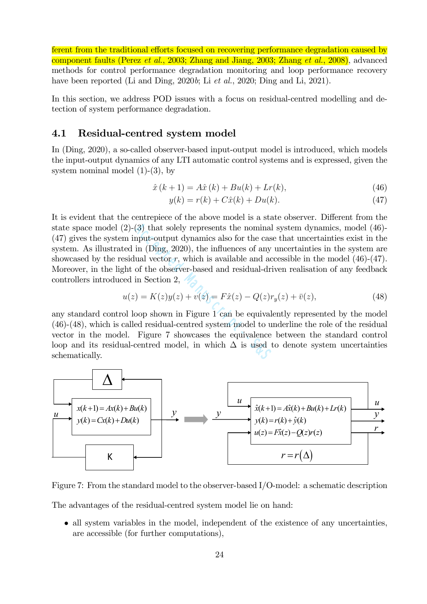ferent from the traditional efforts focused on recovering performance degradation caused by component faults (Perez *et al.*, 2003; Zhang and Jiang, 2003; Zhang *et al.*, 2008), advanced methods for control performance degradation monitoring and loop performance recovery have been reported (Li and Ding,  $2020b$ ; Li  $et$  al.,  $2020$ ; Ding and Li,  $2021$ ).

In this section, we address POD issues with a focus on residual-centred modelling and detection of system performance degradation.

#### 4.1 Residual-centred system model

In (Ding, 2020), a so-called observer-based input-output model is introduced, which models the input-output dynamics of any LTI automatic control systems and is expressed, given the system nominal model  $(1)-(3)$ , by

$$
\hat{x}(k+1) = A\hat{x}(k) + Bu(k) + Lr(k),
$$
\n(46)

$$
y(k) = r(k) + C\hat{x}(k) + Du(k).
$$
 (47)

It is evident that the centrepiece of the above model is a state observer. Different from the state space model  $(2)-(3)$  that solely represents the nominal system dynamics, model  $(46)$ -(47) gives the system input-output dynamics also for the case that uncertainties exist in the system. As illustrated in (Ding, 2020), the influences of any uncertainties in the system are showcased by the residual vector  $r$ , which is available and accessible in the model  $(46)-(47)$ . Moreover, in the light of the observer-based and residual-driven realisation of any feedback controllers introduced in Section 2, (3) that solely represents the nominal<br>nput-output dynamics also for the case<br>in (Ding, 2020), the influences of any<br>ual vector r, which is available and ac<br>of the observer-based and residual-dri<br>in Section 2,<br> $) = K(z)y(z) + v(z$ 

$$
u(z) = K(z)y(z) + v(z) = F\hat{x}(z) - Q(z)r_y(z) + \bar{v}(z),
$$
\n(48)

any standard control loop shown in Figure 1 can be equivalently represented by the model (46)-(48), which is called residual-centred system model to underline the role of the residual vector in the model. Figure 7 showcases the equivalence between the standard control loop and its residual-centred model, in which  $\Delta$  is used to denote system uncertainties schematically.



Figure 7: From the standard model to the observer-based I/O-model: a schematic description

The advantages of the residual-centred system model lie on hand:

• all system variables in the model, independent of the existence of any uncertainties. are accessible (for further computations),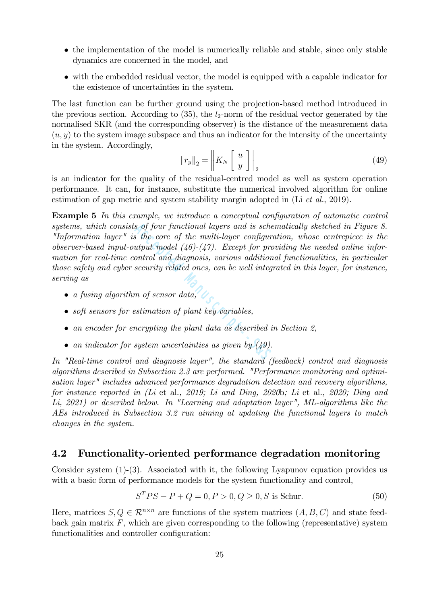- the implementation of the model is numerically reliable and stable, since only stable dynamics are concerned in the model, and
- with the embedded residual vector, the model is equipped with a capable indicator for the existence of uncertainties in the system.

The last function can be further ground using the projection-based method introduced in the previous section. According to  $(35)$ , the  $l_2$ -norm of the residual vector generated by the normalised SKR (and the corresponding observer) is the distance of the measurement data  $(u, y)$  to the system image subspace and thus an indicator for the intensity of the uncertainty in the system. Accordingly,  $\overline{1}$ 

$$
\|r_y\|_2 = \left\|K_N\left[\begin{array}{c} u \\ y \end{array}\right]\right\|_2\tag{49}
$$

is an indicator for the quality of the residual-centred model as well as system operation performance. It can, for instance, substitute the numerical involved algorithm for online estimation of gap metric and system stability margin adopted in (Li et al., 2019).

Example 5 In this example, we introduce a conceptual configuration of automatic control systems, which consists of four functional layers and is schematically sketched in Figure 8. "Information layer" is the core of the multi-layer configuration, whose centrepiece is the observer-based input-output model  $(46)-(47)$ . Except for providing the needed online information for real-time control and diagnosis, various additional functionalities, in particular those safety and cyber security related ones, can be well integrated in this layer, for instance, serving as s of four functional layers and is sche<br>
s the core of the multi-layer configure<br>
utput model  $(46)-(47)$ . Except for pro<br>
ontrol and diagnosis, various addition<br>
security related ones, can be well integral<br>
mot sensor data

- a fusing algorithm of sensor data,
- soft sensors for estimation of plant key variables,
- an encoder for encrypting the plant data as described in Section 2.
- an indicator for system uncertainties as given by  $(49)$ .

In "Real-time control and diagnosis layer", the standard (feedback) control and diagnosis algorithms described in Subsection 2.3 are performed. "Performance monitoring and optimisation layer" includes advanced performance degradation detection and recovery algorithms. for instance reported in (Li et al., 2019; Li and Ding, 2020b; Li et al., 2020; Ding and Li, 2021) or described below. In "Learning and adaptation layer", ML-algorithms like the AEs introduced in Subsection 3.2 run aiming at updating the functional layers to match changes in the system.

#### 4.2 Functionality-oriented performance degradation monitoring

Consider system (1)-(3). Associated with it, the following Lyapunov equation provides us with a basic form of performance models for the system functionality and control,

$$
STPS - P + Q = 0, P > 0, Q \ge 0, S \text{ is Schur.}
$$
 (50)

Here, matrices  $S, Q \in \mathbb{R}^{n \times n}$  are functions of the system matrices  $(A, B, C)$  and state feedback gain matrix  $F$ , which are given corresponding to the following (representative) system functionalities and controller configuration: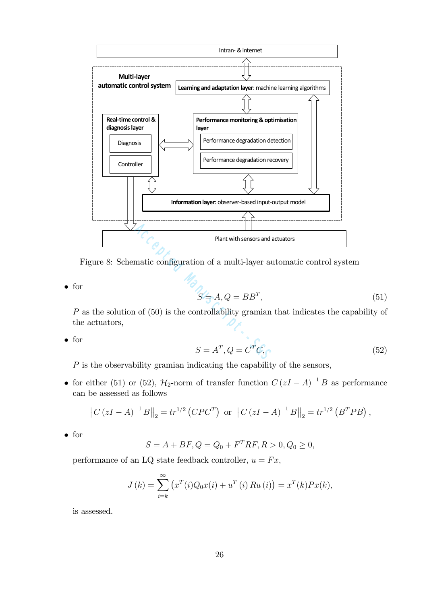

Figure 8: Schematic configuration of a multi-layer automatic control system

• for

$$
S = A, Q = BB^T,\tag{51}
$$

P as the solution of (50) is the controllability gramian that indicates the capability of the actuators,

• for

$$
S = A^T, Q = C^T C,
$$
\n(52)

P is the observability gramian indicating the capability of the sensors,

• for either (51) or (52),  $\mathcal{H}_2$ -norm of transfer function  $C(zI - A)^{-1}B$  as performance can be assessed as follows

$$
||C (zI - A)^{-1} B||_2 = tr^{1/2} (C P C^T)
$$
 or  $||C (zI - A)^{-1} B||_2 = tr^{1/2} (B^T P B)$ ,

• for

$$
S = A + BF, Q = Q_0 + F^T RF, R > 0, Q_0 \ge 0,
$$

performance of an LQ state feedback controller,  $u = Fx$ ,

$$
J(k) = \sum_{i=k}^{\infty} (x^{T}(i)Q_{0}x(i) + u^{T}(i)Ru(i)) = x^{T}(k)Px(k),
$$

is assessed.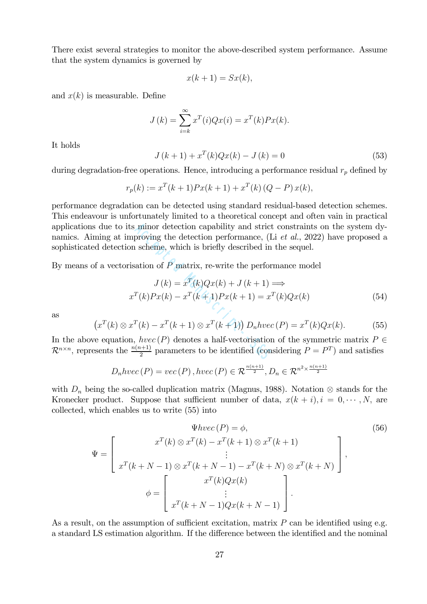There exist several strategies to monitor the above-described system performance. Assume that the system dynamics is governed by

$$
x(k+1) = Sx(k),
$$

and  $x(k)$  is measurable. Define

$$
J(k) = \sum_{i=k}^{\infty} x^{T}(i)Qx(i) = x^{T}(k)Px(k).
$$

It holds

$$
J(k+1) + x^{T}(k)Qx(k) - J(k) = 0
$$
\n(53)

during degradation-free operations. Hence, introducing a performance residual  $r_p$  defined by

$$
r_p(k) := x^T(k+1)Px(k+1) + x^T(k)(Q - P)x(k),
$$

performance degradation can be detected using standard residual-based detection schemes. This endeavour is unfortunately limited to a theoretical concept and often vain in practical applications due to its minor detection capability and strict constraints on the system dynamics. Aiming at improving the detection performance, (Li *et al.*, 2022) have proposed a sophisticated detection scheme, which is briefly described in the sequel. minor detection capability and strict<br>proving the detection performance, (L<br>i scheme, which is briefly described in<br>ation of P matrix, re-write the perfor<br> $J(k) = x^T(k)Qx(k) + J(k+1) = x^T$ <br> $T(k)Px(k) - x^T(k+1)Px(k+1) = x^T$ <br> $T(k) - x^T(k+1) \ot$ 

By means of a vectorisation of  $P$  matrix, re-write the performance model

$$
J(k) = x^{T}(k)Qx(k) + J(k+1) \Longrightarrow
$$
  

$$
x^{T}(k)Px(k) - x^{T}(k+1)Px(k+1) = x^{T}(k)Qx(k)
$$
 (54)

as

$$
(xT(k) \otimes xT(k) - xT(k+1) \otimes xT(k+1)) Dnhvec(P) = xT(k)Qx(k).
$$
 (55)

In the above equation,  $hvec(P)$  denotes a half-vectorisation of the symmetric matrix  $P \in$  $\mathcal{R}^{n \times n}$ , represents the  $\frac{n(n+1)}{2}$  parameters to be identified (considering  $P = P^T$ ) and satisfies

$$
D_n hvec(P) = vec(P), hvec(P) \in \mathcal{R}^{\frac{n(n+1)}{2}}, D_n \in \mathcal{R}^{n^2 \times \frac{n(n+1)}{2}}
$$

with  $D_n$  being the so-called duplication matrix (Magnus, 1988). Notation ⊗ stands for the Kronecker product. Suppose that sufficient number of data,  $x(k + i), i = 0, \dots, N$ , are collected, which enables us to write (55) into

$$
\Psi hvec(P) = \phi,
$$
\n
$$
\Psi = \begin{bmatrix}\nx^T(k) \otimes x^T(k) - x^T(k+1) \otimes x^T(k+1) \\
\vdots \\
x^T(k+N-1) \otimes x^T(k+N-1) - x^T(k+N) \otimes x^T(k+N) \\
\phi = \begin{bmatrix}\nx^T(k)Qx(k) \\
\vdots \\
x^T(k+N-1)Qx(k+N-1)\n\end{bmatrix},
$$
\n(56)

As a result, on the assumption of sufficient excitation, matrix  $P$  can be identified using e.g. a standard LS estimation algorithm. If the difference between the identified and the nominal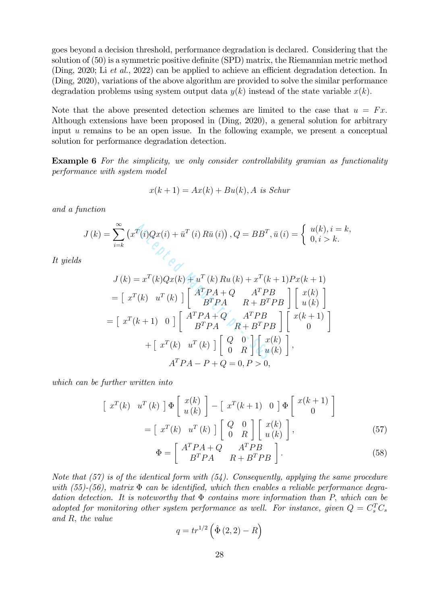goes beyond a decision threshold, performance degradation is declared. Considering that the solution of (50) is a symmetric positive definite (SPD) matrix, the Riemannian metric method (Ding, 2020; Li et al., 2022) can be applied to achieve an efficient degradation detection. In (Ding, 2020), variations of the above algorithm are provided to solve the similar performance degradation problems using system output data  $y(k)$  instead of the state variable  $x(k)$ .

Note that the above presented detection schemes are limited to the case that  $u = Fx$ . Although extensions have been proposed in (Ding, 2020), a general solution for arbitrary input  $u$  remains to be an open issue. In the following example, we present a conceptual solution for performance degradation detection.

Example 6 For the simplicity, we only consider controllability gramian as functionality performance with system model

$$
x(k+1) = Ax(k) + Bu(k), A
$$
 is Schur

and a function

$$
J(k) = \sum_{i=k}^{\infty} \left( x^T(i)Qx(i) + \bar{u}^T(i) R\bar{u}(i) \right), Q = BB^T, \bar{u}(i) = \begin{cases} u(k), i = k, \\ 0, i > k. \end{cases}
$$

It yields

$$
= \sum_{i=k}^{\infty} (x^{T}(i)Qx(i) + \bar{u}^{T}(i) R\bar{u}(i)), Q = BB^{T}, \bar{u}(i) = \begin{cases} u(k), i \\ 0, i > 0 \end{cases}
$$
  

$$
J(k) = x^{T}(k)Qx(k) + u^{T}(k) Ru(k) + x^{T}(k+1)Px(k+1)
$$
  

$$
= [\begin{array}{cc} x^{T}(k) & u^{T}(k) \end{array}] \begin{bmatrix} A^{T}PA + Q & A^{T}PB \\ B^{T}PA & R + B^{T}PB \end{bmatrix} \begin{bmatrix} x(k) \\ u(k) \end{bmatrix}
$$
  

$$
= [\begin{array}{cc} x^{T}(k+1) & 0 \end{array}] \begin{bmatrix} A^{T}PA + Q & A^{T}PB \\ B^{T}PA & R + B^{T}PB \end{bmatrix} \begin{bmatrix} x(k+1) \\ 0 \end{bmatrix}
$$
  

$$
+ [\begin{array}{cc} x^{T}(k) & u^{T}(k) \end{array}] \begin{bmatrix} Q & 0 \\ 0 & R \end{bmatrix} \begin{bmatrix} x(k) \\ u(k) \end{bmatrix},
$$
  

$$
A^{T}PA - P + Q = 0, P > 0,
$$

which can be further written into

$$
\begin{bmatrix} x^T(k) & u^T(k) \end{bmatrix} \Phi \begin{bmatrix} x(k) \\ u(k) \end{bmatrix} - \begin{bmatrix} x^T(k+1) & 0 \end{bmatrix} \Phi \begin{bmatrix} x(k+1) \\ 0 \end{bmatrix}
$$

$$
= \begin{bmatrix} x^T(k) & u^T(k) \end{bmatrix} \begin{bmatrix} Q & 0 \\ 0 & R \end{bmatrix} \begin{bmatrix} x(k) \\ u(k) \end{bmatrix},
$$
(57)  

$$
\begin{bmatrix} A^T P A + Q & A^T P B \end{bmatrix}
$$

$$
\Phi = \left[ \begin{array}{cc} A^T P A + Q & A^T P B \\ B^T P A & R + B^T P B \end{array} \right].
$$
\n(58)

Note that  $(57)$  is of the identical form with  $(54)$ . Consequently, applying the same procedure with (55)-(56), matrix  $\Phi$  can be identified, which then enables a reliable performance degradation detection. It is noteworthy that  $\Phi$  contains more information than P, which can be adopted for monitoring other system performance as well. For instance, given  $Q = C_s^T C_s$ and R, the value

$$
q = tr^{1/2} \left( \hat{\Phi} (2, 2) - R \right)
$$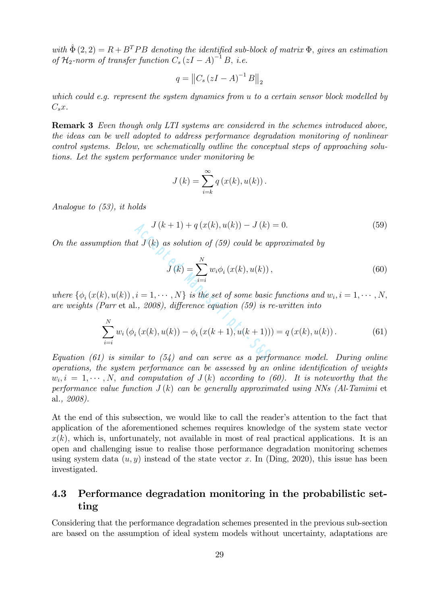with  $\hat{\Phi}(2, 2) = R + B^T P B$  denoting the identified sub-block of matrix  $\Phi$ , gives an estimation of  $\mathcal{H}_2$ -norm of transfer function  $C_s(zI-A)^{-1}B$ , i.e.

$$
q = \left\|C_s \left(zI - A\right)^{-1} B\right\|_2
$$

which could e.g. represent the system dynamics from u to a certain sensor block modelled by  $C_s x$ .

Remark 3 Even though only LTI systems are considered in the schemes introduced above, the ideas can be well adopted to address performance degradation monitoring of nonlinear control systems. Below, we schematically outline the conceptual steps of approaching solutions. Let the system performance under monitoring be

$$
J(k) = \sum_{i=k}^{\infty} q(x(k), u(k)).
$$

Analogue to (53), it holds

$$
J(k+1) + q(x(k), u(k)) - J(k) = 0.
$$
 (59)

On the assumption that  $J(k)$  as solution of (59) could be approximated by

$$
J(k) = \sum_{i=i}^{N} w_i \phi_i (x(k), u(k)),
$$
\n(60)

where  $\{\phi_i(x(k), u(k)), i = 1, \cdots, N\}$  is the set of some basic functions and  $w_i, i = 1, \cdots, N$ , are weights (Parr et al., 2008), difference equation (59) is re-written into

$$
J(k+1) + q(x(k), u(k)) - J(k) = 0.
$$
\n(59)

\noption that  $J(k)$  as solution of (59) could be approximated by

\n
$$
J(k) = \sum_{i=i}^{N} w_i \phi_i(x(k), u(k)),
$$
\n
$$
k), u(k), i = 1, \dots, N\}
$$
\nis the set of some basic functions and  $w_i, i = 1, \dots, N$ ,

\nParr et al., 2008), difference equation (59) is re-written into

\n
$$
\sum_{i=i}^{N} w_i (\phi_i(x(k), u(k)) - \phi_i(x(k+1), u(k+1))) = q(x(k), u(k)).
$$
\n(61)

\ni is similar to (54) and can serve as a performance model. During online

Equation (61) is similar to  $(54)$  and can serve as a performance model. During online operations, the system performance can be assessed by an online identification of weights  $w_i, i = 1, \cdots, N$ , and computation of  $J(k)$  according to (60). It is noteworthy that the performance value function  $J(k)$  can be generally approximated using NNs (Al-Tamimi et al., 2008).

At the end of this subsection, we would like to call the reader's attention to the fact that application of the aforementioned schemes requires knowledge of the system state vector  $x(k)$ , which is, unfortunately, not available in most of real practical applications. It is an open and challenging issue to realise those performance degradation monitoring schemes using system data  $(u, y)$  instead of the state vector x. In (Ding, 2020), this issue has been investigated.

### 4.3 Performance degradation monitoring in the probabilistic setting

Considering that the performance degradation schemes presented in the previous sub-section are based on the assumption of ideal system models without uncertainty, adaptations are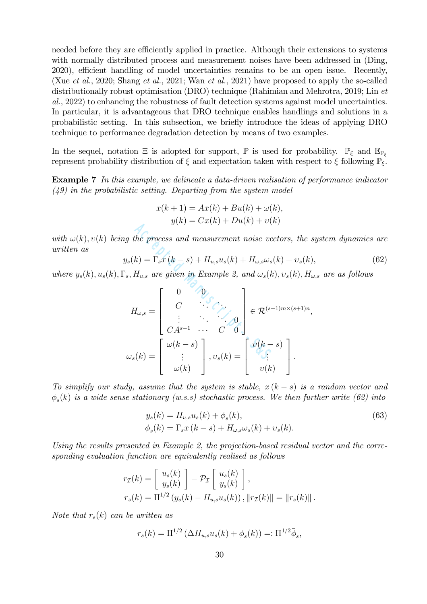needed before they are efficiently applied in practice. Although their extensions to systems with normally distributed process and measurement noises have been addressed in (Ding, 2020), efficient handling of model uncertainties remains to be an open issue. Recently, (Xue et al., 2020; Shang et al., 2021; Wan et al., 2021) have proposed to apply the so-called distributionally robust optimisation (DRO) technique (Rahimian and Mehrotra, 2019; Lin et al., 2022) to enhancing the robustness of fault detection systems against model uncertainties. In particular, it is advantageous that DRO technique enables handlings and solutions in a probabilistic setting. In this subsection, we briefly introduce the ideas of applying DRO technique to performance degradation detection by means of two examples.

In the sequel, notation  $\Xi$  is adopted for support,  $\mathbb P$  is used for probability.  $\mathbb P_{\xi}$  and  $\mathbb E_{\mathbb P_{\xi}}$ represent probability distribution of  $\xi$  and expectation taken with respect to  $\xi$  following  $\mathbb{P}_{\xi}$ .

Example 7 In this example, we delineate a data-driven realisation of performance indicator  $(49)$  in the probabilistic setting. Departing from the system model

$$
x(k+1) = Ax(k) + Bu(k) + \omega(k),
$$
  

$$
y(k) = Cx(k) + Du(k) + \upsilon(k)
$$

with  $\omega(k)$ ,  $v(k)$  being the process and measurement noise vectors, the system dynamics are written as

$$
y_s(k) = \Gamma_s x (k - s) + H_{u,s} u_s(k) + H_{\omega,s} \omega_s(k) + v_s(k), \qquad (62)
$$

where  $y_s(k), u_s(k), \Gamma_s, H_{u,s}$  are given in Example 2, and  $\omega_s(k), v_s(k), H_{\omega,s}$  are as follows

$$
g(k) = c_k(k) + b_k(k)
$$
\n
$$
g(k) = \Gamma_s x(k - s) + H_{u,s} u_s(k) + H_{\omega,s} \omega_s(k) + v_s(k)
$$
\n
$$
g, H_{u,s} \text{ are given in Example 2, and } \omega_s(k), v_s(k), H_{u,s} \text{ are given in Example 2, and } \omega_s(k), v_s(k), H_{u,s} \text{ are given in Example 2, and } \omega_s(k), v_s(k) = \begin{bmatrix} 0 & 0 \\ C & \cdots & 0 \\ \vdots & \cdots & \vdots \\ C A^{s-1} & \cdots & C & 0 \end{bmatrix} \in \mathcal{R}^{(s+1)m \times (s+1)n},
$$
\n
$$
\omega_s(k) = \begin{bmatrix} \omega(k - s) \\ \vdots \\ \omega(k) \end{bmatrix}, v_s(k) = \begin{bmatrix} v(k - s) \\ \vdots \\ v(k) \end{bmatrix}.
$$

To simplify our study, assume that the system is stable,  $x(k-s)$  is a random vector and  $\phi_{s}(k)$  is a wide sense stationary (w.s.s) stochastic process. We then further write (62) into

$$
y_s(k) = H_{u,s}u_s(k) + \phi_s(k),
$$
  
\n
$$
\phi_s(k) = \Gamma_s x (k - s) + H_{\omega,s} \omega_s(k) + \upsilon_s(k).
$$
\n(63)

Using the results presented in Example 2, the projection-based residual vector and the corresponding evaluation function are equivalently realised as follows

$$
r_{\mathcal{I}}(k) = \begin{bmatrix} u_s(k) \\ y_s(k) \end{bmatrix} - \mathcal{P}_{\mathcal{I}} \begin{bmatrix} u_s(k) \\ y_s(k) \end{bmatrix},
$$
  

$$
r_s(k) = \Pi^{1/2} (y_s(k) - H_{u,s} u_s(k)), ||r_{\mathcal{I}}(k)|| = ||r_s(k)||.
$$

Note that  $r_s(k)$  can be written as

$$
r_s(k) = \Pi^{1/2} \left( \Delta H_{u,s} u_s(k) + \phi_s(k) \right) =: \Pi^{1/2} \bar{\phi}_s,
$$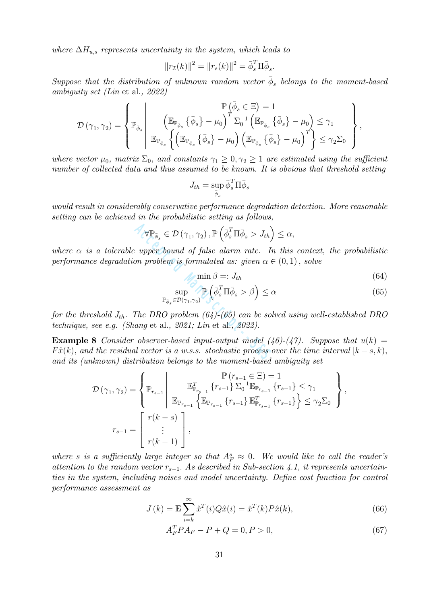where  $\Delta H_{u,s}$  represents uncertainty in the system, which leads to

$$
||r_{\mathcal{I}}(k)||^{2} = ||r_{s}(k)||^{2} = \bar{\phi}_{s}^{T} \Pi \bar{\phi}_{s}.
$$

Suppose that the distribution of unknown random vector  $\bar{\phi}_s$  belongs to the moment-based ambiguity set (Lin et al., 2022)

$$
\mathcal{D}(\gamma_1, \gamma_2) = \left\{ \mathbb{P}_{\bar{\phi}_s} \left| \begin{array}{c} \mathbb{P}\left(\bar{\phi}_s \in \Xi\right) = 1 \\ \left(\mathbb{E}_{\mathbb{P}_{\bar{\phi}_s}}\left\{\bar{\phi}_s\right\} - \mu_0\right)^T \Sigma_0^{-1} \left(\mathbb{E}_{\mathbb{P}_{\bar{\phi}_s}}\left\{\bar{\phi}_s\right\} - \mu_0\right) \leq \gamma_1 \\ \mathbb{E}_{\mathbb{P}_{\bar{\phi}_s}}\left\{\left(\mathbb{E}_{\mathbb{P}_{\bar{\phi}_s}}\left\{\bar{\phi}_s\right\} - \mu_0\right) \left(\mathbb{E}_{\mathbb{P}_{\bar{\phi}_s}}\left\{\bar{\phi}_s\right\} - \mu_0\right)^T\right\} \leq \gamma_2 \Sigma_0 \end{array} \right\},
$$

where vector  $\mu_0$ , matrix  $\Sigma_0$ , and constants  $\gamma_1 \geq 0, \gamma_2 \geq 1$  are estimated using the sufficient number of collected data and thus assumed to be known. It is obvious that threshold setting

$$
J_{th} = \sup_{\bar{\phi}_s} \bar{\phi}_s^T \Pi \bar{\phi}_s
$$

would result in considerably conservative performance degradation detection. More reasonable setting can be achieved in the probabilistic setting as follows,

$$
\forall \mathbb{P}_{\bar{\phi}_s} \in \mathcal{D}(\gamma_1, \gamma_2), \mathbb{P}\left(\bar{\phi}_s^T \Pi \bar{\phi}_s > J_{th}\right) \leq \alpha,
$$

where  $\alpha$  is a tolerable upper bound of false alarm rate. In this context, the probabilistic performance degradation problem is formulated as: given  $\alpha \in (0,1)$ , solve

$$
\min \beta =: J_{th} \tag{64}
$$

$$
\sup_{\mathbb{P}_{\bar{\phi}_s} \in \mathcal{D}(\gamma_1, \gamma_2)} \mathbb{P}\left(\bar{\phi}_s^T \Pi \bar{\phi}_s > \beta\right) \le \alpha \tag{65}
$$

for the threshold  $J_{th}$ . The DRO problem (64)-(65) can be solved using well-established DRO technique, see e.g. (Shang et al., 2021; Lin et al., 2022).

**Example 8** Consider observer-based input-output model  $(46)-(47)$ . Suppose that  $u(k)$  =  $F\hat{x}(k)$ , and the residual vector is a w.s.s. stochastic process over the time interval  $[k-s, k)$ , and its (unknown) distribution belongs to the moment-based ambiguity set  $\forall \mathbb{P}_{\bar{\phi}_s} \in \mathcal{D}(\gamma_1, \gamma_2), \mathbb{P}(\bar{\phi}_s^T \Pi \bar{\phi}_s > J_{th})$ <br>  $\therefore$  upper bound of false alarm rate. In<br>
on problem is formulated as: given  $\alpha \in \text{min } \beta =: J_{th}$ <br>  $\sup_{\mathbb{P}_{\bar{\phi}_s} \in \mathcal{D}(\gamma_1, \gamma_2)} \mathbb{P}(\bar{\phi}_s^T \Pi \bar{\phi}_s >$ 

$$
\mathcal{D}(\gamma_1, \gamma_2) = \left\{ \mathbb{P}_{r_{s-1}} \middle| \begin{array}{c} \mathbb{P}(r_{s-1} \in \Xi) = 1\\ \mathbb{E}^T_{\mathbb{P}_{r_{s-1}}} \left\{ r_{s-1} \right\} \sum_{0}^{-1} \mathbb{E}_{\mathbb{P}_{r_{s-1}}} \left\{ r_{s-1} \right\} \leq \gamma_1\\ \mathbb{E}_{\mathbb{P}_{r_{s-1}}} \left\{ \mathbb{E}_{\mathbb{P}_{r_{s-1}}} \left\{ r_{s-1} \right\} \mathbb{E}^T_{\mathbb{P}_{r_{s-1}}} \left\{ r_{s-1} \right\} \right\} \leq \gamma_2 \Sigma_0 \end{array} \right\},
$$
  

$$
r_{s-1} = \left[ \begin{array}{c} r(k-s)\\ \vdots\\ r(k-1) \end{array} \right],
$$

where s is a sufficiently large integer so that  $A_F^s \approx 0$ . We would like to call the reader's attention to the random vector  $r_{s-1}$ . As described in Sub-section 4.1, it represents uncertainties in the system, including noises and model uncertainty. Define cost function for control performance assessment as

$$
J(k) = \mathbb{E}\sum_{i=k}^{\infty} \hat{x}^{T}(i)Q\hat{x}(i) = \hat{x}^{T}(k)P\hat{x}(k),
$$
\n(66)

$$
A_F^T P A_F - P + Q = 0, P > 0,
$$
\n(67)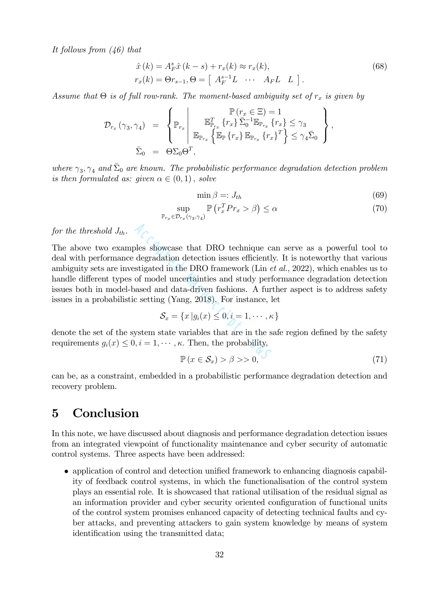It follows from (46) that

$$
\hat{x}(k) = A_F^s \hat{x}(k-s) + r_x(k) \approx r_x(k),
$$
  
\n
$$
r_x(k) = \Theta r_{s-1}, \Theta = \begin{bmatrix} A_F^{s-1} L & \cdots & A_F L & L \end{bmatrix}.
$$
\n(68)

Assume that  $\Theta$  is of full row-rank. The moment-based ambiguity set of  $r_x$  is given by

$$
\mathcal{D}_{r_x}(\gamma_3, \gamma_4) = \begin{cases} \mathbb{P}(r_x \in \Xi) = 1 \\ \mathbb{P}_{r_x} \Bigg| \mathbb{E}_{\mathbb{P}_{r_x}} \left\{ r_x \right\} \bar{\Sigma}_0^{-1} \mathbb{E}_{\mathbb{P}_{r_x}} \left\{ r_x \right\} \leq \gamma_3 \\ \mathbb{E}_{\mathbb{P}_{r_x}} \left\{ \mathbb{E}_{\mathbb{P}_{r_x}} \left\{ r_x \right\} \mathbb{E}_{\mathbb{P}_{r_x}} \left\{ r_x \right\}^T \right\} \leq \gamma_4 \bar{\Sigma}_0 \end{cases},
$$
  

$$
\bar{\Sigma}_0 = \Theta \Sigma_0 \Theta^T,
$$

where  $\gamma_3, \gamma_4$  and  $\bar{\Sigma}_0$  are known. The probabilistic performance degradation detection problem is then formulated as: given  $\alpha \in (0,1)$ , solve

$$
\min \beta =: J_{th} \tag{69}
$$

$$
\sup_{\mathbb{P}_{r_x} \in \mathcal{D}_{r_x}(\gamma_3, \gamma_4)} \mathbb{P}\left(r_x^T P r_x > \beta\right) \le \alpha \tag{70}
$$

for the threshold  $J_{th}$ .

The above two examples showcase that DRO technique can serve as a powerful tool to deal with performance degradation detection issues efficiently. It is noteworthy that various ambiguity sets are investigated in the DRO framework (Lin et al., 2022), which enables us to handle different types of model uncertainties and study performance degradation detection issues both in model-based and data-driven fashions. A further aspect is to address safety issues in a probabilistic setting (Yang, 2018). For instance, let bles showcase that DRO technique calegradation detection issues efficiently<br>stigated in the DRO framework (Lin e<br>of model uncertainties and study perf<br>assed and data-driven fashions. A furt<br>c setting (Yang, 2018). For ins

$$
\mathcal{S}_x = \{x \, | g_i(x) \leq 0, i = 1, \cdots, \kappa\}
$$

denote the set of the system state variables that are in the safe region defined by the safety requirements  $g_i(x) \leq 0, i = 1, \dots, \kappa$ . Then, the probability,

$$
\mathbb{P}\left(x \in \mathcal{S}_x\right) > \beta > 0,\tag{71}
$$

can be, as a constraint, embedded in a probabilistic performance degradation detection and recovery problem.

## 5 Conclusion

In this note, we have discussed about diagnosis and performance degradation detection issues from an integrated viewpoint of functionality maintenance and cyber security of automatic control systems. Three aspects have been addressed:

• application of control and detection unified framework to enhancing diagnosis capability of feedback control systems, in which the functionalisation of the control system plays an essential role. It is showcased that rational utilisation of the residual signal as an information provider and cyber security oriented configuration of functional units of the control system promises enhanced capacity of detecting technical faults and cyber attacks, and preventing attackers to gain system knowledge by means of system identification using the transmitted data;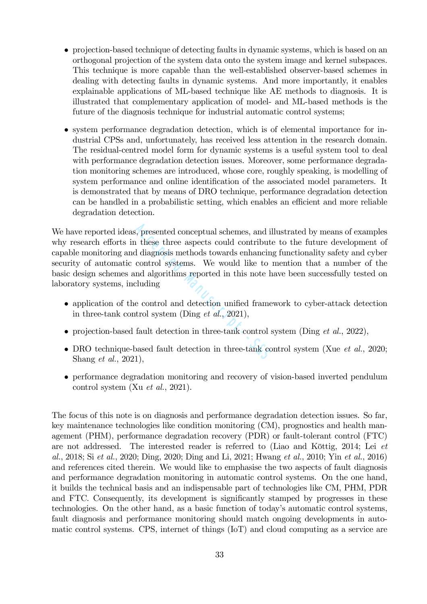- projection-based technique of detecting faults in dynamic systems, which is based on an orthogonal projection of the system data onto the system image and kernel subspaces. This technique is more capable than the well-established observer-based schemes in dealing with detecting faults in dynamic systems. And more importantly, it enables explainable applications of ML-based technique like AE methods to diagnosis. It is illustrated that complementary application of model- and ML-based methods is the future of the diagnosis technique for industrial automatic control systems;
- system performance degradation detection, which is of elemental importance for industrial CPSs and, unfortunately, has received less attention in the research domain. The residual-centred model form for dynamic systems is a useful system tool to deal with performance degradation detection issues. Moreover, some performance degradation monitoring schemes are introduced, whose core, roughly speaking, is modelling of system performance and online identification of the associated model parameters. It is demonstrated that by means of DRO technique, performance degradation detection can be handled in a probabilistic setting, which enables an efficient and more reliable degradation detection.

We have reported ideas, presented conceptual schemes, and illustrated by means of examples why research efforts in these three aspects could contribute to the future development of capable monitoring and diagnosis methods towards enhancing functionality safety and cyber security of automatic control systems. We would like to mention that a number of the basic design schemes and algorithms reported in this note have been successfully tested on laboratory systems, including s, presented conceptual schemes, and il<br>
a these three aspects could contribute<br>
d diagnosis methods towards enhancing<br>
control systems. We would like to independent<br>
dependence in this note h<br>
cluding<br>
e control and dete

- application of the control and detection unified framework to cyber-attack detection in three-tank control system (Ding *et al.*, 2021),
- projection-based fault detection in three-tank control system (Ding *et al.*, 2022),
- DRO technique-based fault detection in three-tank control system (Xue et al., 2020; Shang et al., 2021),
- performance degradation monitoring and recovery of vision-based inverted pendulum control system (Xu et al., 2021).

The focus of this note is on diagnosis and performance degradation detection issues. So far, key maintenance technologies like condition monitoring (CM), prognostics and health management (PHM), performance degradation recovery (PDR) or fault-tolerant control (FTC) are not addressed. The interested reader is referred to (Liao and Köttig, 2014; Lei et al., 2018; Si et al., 2020; Ding, 2020; Ding and Li, 2021; Hwang et al., 2010; Yin et al., 2016) and references cited therein. We would like to emphasise the two aspects of fault diagnosis and performance degradation monitoring in automatic control systems. On the one hand, it builds the technical basis and an indispensable part of technologies like CM, PHM, PDR and FTC. Consequently, its development is significantly stamped by progresses in these technologies. On the other hand, as a basic function of today's automatic control systems, fault diagnosis and performance monitoring should match ongoing developments in automatic control systems. CPS, internet of things (IoT) and cloud computing as a service are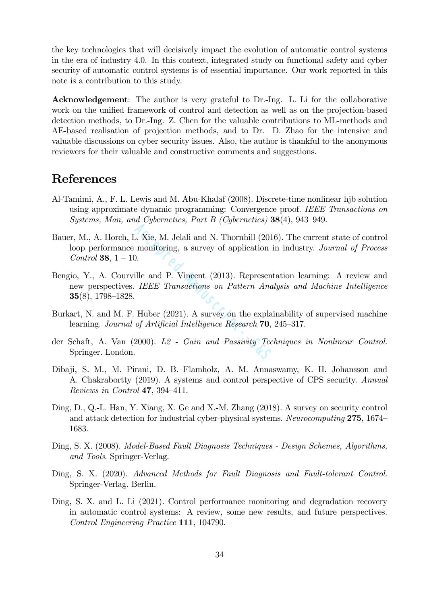the key technologies that will decisively impact the evolution of automatic control systems in the era of industry 4.0. In this context, integrated study on functional safety and cyber security of automatic control systems is of essential importance. Our work reported in this note is a contribution to this study.

Acknowledgement: The author is very grateful to Dr.-Ing. L. Li for the collaborative work on the unified framework of control and detection as well as on the projection-based detection methods, to Dr.-Ing. Z. Chen for the valuable contributions to ML-methods and AE-based realisation of projection methods, and to Dr. D. Zhao for the intensive and valuable discussions on cyber security issues. Also, the author is thankful to the anonymous reviewers for their valuable and constructive comments and suggestions.

## References

- Al-Tamimi, A., F. L. Lewis and M. Abu-Khalaf (2008). Discrete-time nonlinear hjb solution using approximate dynamic programming: Convergence proof. IEEE Transactions on Systems, Man, and Cybernetics, Part B (Cybernetics)  $38(4)$ , 943–949.
- Bauer, M., A. Horch, L. Xie, M. Jelali and N. Thornhill (2016). The current state of control loop performance monitoring, a survey of application in industry. Journal of Process *Control* **38**,  $1 - 10$ . Accept Manuscript Manuscript Contract Manuscript (201 monitoring, a survey of application is<br>
ille and P. Vincent (2013). Represent IEEE Transactions on Pattern Ana Huber (2021). A survey on the explanation of Artificial
- Bengio, Y., A. Courville and P. Vincent (2013). Representation learning: A review and new perspectives. IEEE Transactions on Pattern Analysis and Machine Intelligence 35(8), 1798—1828.
- Burkart, N. and M. F. Huber (2021). A survey on the explainability of supervised machine learning. Journal of Artificial Intelligence Research 70, 245—317.
- der Schaft, A. Van (2000). L2 Gain and Passivity Techniques in Nonlinear Control. Springer. London.
- Dibaji, S. M., M. Pirani, D. B. Flamholz, A. M. Annaswamy, K. H. Johansson and A. Chakrabortty (2019). A systems and control perspective of CPS security. Annual Reviews in Control 47, 394—411.
- Ding, D., Q.-L. Han, Y. Xiang, X. Ge and X.-M. Zhang (2018). A survey on security control and attack detection for industrial cyber-physical systems. Neurocomputing 275, 1674— 1683.
- Ding, S. X. (2008). Model-Based Fault Diagnosis Techniques Design Schemes, Algorithms, and Tools. Springer-Verlag.
- Ding, S. X. (2020). Advanced Methods for Fault Diagnosis and Fault-tolerant Control. Springer-Verlag. Berlin.
- Ding, S. X. and L. Li (2021). Control performance monitoring and degradation recovery in automatic control systems: A review, some new results, and future perspectives. Control Engineering Practice 111, 104790.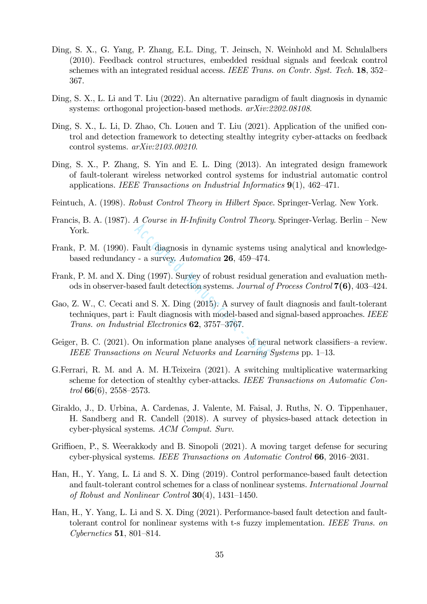- Ding, S. X., G. Yang, P. Zhang, E.L. Ding, T. Jeinsch, N. Weinhold and M. Schulalbers (2010). Feedback control structures, embedded residual signals and feedcak control schemes with an integrated residual access. IEEE Trans. on Contr. Syst. Tech. 18, 352– 367.
- Ding, S. X., L. Li and T. Liu (2022). An alternative paradigm of fault diagnosis in dynamic systems: orthogonal projection-based methods.  $arXiv:2202.08108$ .
- Ding, S. X., L. Li, D. Zhao, Ch. Louen and T. Liu (2021). Application of the unified control and detection framework to detecting stealthy integrity cyber-attacks on feedback control systems. arXiv:2103.00210.
- Ding, S. X., P. Zhang, S. Yin and E. L. Ding (2013). An integrated design framework of fault-tolerant wireless networked control systems for industrial automatic control applications. IEEE Transactions on Industrial Informatics  $9(1)$ ,  $462-471$ .
- Feintuch, A. (1998). Robust Control Theory in Hilbert Space. Springer-Verlag. New York.
- Francis, B. A. (1987). A Course in H-Infinity Control Theory. Springer-Verlag. Berlin New York.
- Frank, P. M. (1990). Fault diagnosis in dynamic systems using analytical and knowledgebased redundancy - a survey. Automatica 26, 459—474.
- Frank, P. M. and X. Ding (1997). Survey of robust residual generation and evaluation methods in observer-based fault detection systems. Journal of Process Control 7(6), 403—424.
- Gao, Z. W., C. Cecati and S. X. Ding (2015). A survey of fault diagnosis and fault-tolerant techniques, part i: Fault diagnosis with model-based and signal-based approaches. IEEE Trans. on Industrial Electronics 62, 3757—3767. Fault diagnosis in dynamic systems use  $-$  a survey. Automatica **26**, 459–474.<br>ing (1997). Survey of robust residual g sed fault detection systems. *Journal of* and S. X. Ding (2015). A survey of fa Fault diagnosis with m
- Geiger, B. C. (2021). On information plane analyses of neural network classifiers—a review. IEEE Transactions on Neural Networks and Learning Systems pp. 1—13.
- G.Ferrari, R. M. and A. M. H.Teixeira (2021). A switching multiplicative watermarking scheme for detection of stealthy cyber-attacks. IEEE Transactions on Automatic Control  $66(6)$ ,  $2558-2573$ .
- Giraldo, J., D. Urbina, A. Cardenas, J. Valente, M. Faisal, J. Ruths, N. O. Tippenhauer, H. Sandberg and R. Candell (2018). A survey of physics-based attack detection in cyber-physical systems. ACM Comput. Surv.
- Griffioen, P., S. Weerakkody and B. Sinopoli (2021). A moving target defense for securing cyber-physical systems. IEEE Transactions on Automatic Control 66, 2016—2031.
- Han, H., Y. Yang, L. Li and S. X. Ding (2019). Control performance-based fault detection and fault-tolerant control schemes for a class of nonlinear systems. International Journal of Robust and Nonlinear Control  $30(4)$ , 1431–1450.
- Han, H., Y. Yang, L. Li and S. X. Ding (2021). Performance-based fault detection and faulttolerant control for nonlinear systems with t-s fuzzy implementation. IEEE Trans. on Cybernetics 51, 801—814.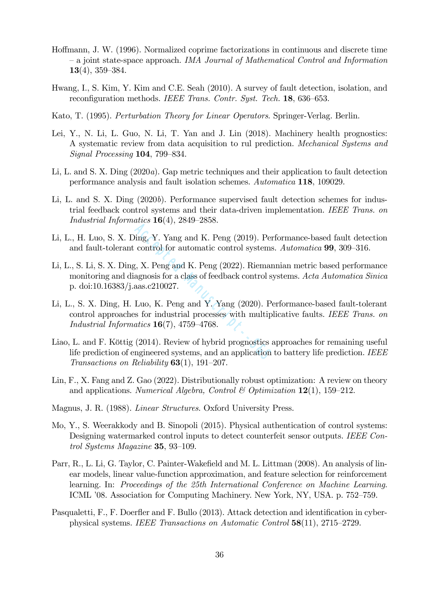- Hoffmann, J. W. (1996). Normalized coprime factorizations in continuous and discrete time — a joint state-space approach. IMA Journal of Mathematical Control and Information 13(4), 359—384.
- Hwang, I., S. Kim, Y. Kim and C.E. Seah (2010). A survey of fault detection, isolation, and reconfiguration methods. IEEE Trans. Contr. Syst. Tech. 18, 636–653.
- Kato, T. (1995). Perturbation Theory for Linear Operators. Springer-Verlag. Berlin.
- Lei, Y., N. Li, L. Guo, N. Li, T. Yan and J. Lin (2018). Machinery health prognostics: A systematic review from data acquisition to rul prediction. Mechanical Systems and Signal Processing 104, 799—834.
- Li, L. and S. X. Ding (2020a). Gap metric techniques and their application to fault detection performance analysis and fault isolation schemes. Automatica 118, 109029.
- Li, L. and S. X. Ding (2020b). Performance supervised fault detection schemes for industrial feedback control systems and their data-driven implementation. IEEE Trans. on Industrial Informatics 16(4), 2849—2858.
- Li, L., H. Luo, S. X. Ding, Y. Yang and K. Peng (2019). Performance-based fault detection and fault-tolerant control for automatic control systems. Automatica 99, 309—316.
- Li, L., S. Li, S. X. Ding, X. Peng and K. Peng (2022). Riemannian metric based performance monitoring and diagnosis for a class of feedback control systems. Acta Automatica Sinica p. doi:10.16383/j.aas.c210027.
- Li, L., S. X. Ding, H. Luo, K. Peng and Y. Yang (2020). Performance-based fault-tolerant control approaches for industrial processes with multiplicative faults. IEEE Trans. on Industrial Informatics  $16(7)$ , 4759-4768. ling, Y. Yang and K. Peng (2019). Per<br>control for automatic control systems<br> $g$ , X. Peng and K. Peng (2022). Rieman<br>agnosis for a class of feedback control s<br>aas.c210027.<br>Luo, K. Peng and Y. Yang (2020). Per<br>s for industr
- Liao, L. and F. Köttig (2014). Review of hybrid prognostics approaches for remaining useful life prediction of engineered systems, and an application to battery life prediction. IEEE Transactions on Reliability 63(1), 191—207.
- Lin, F., X. Fang and Z. Gao (2022). Distributionally robust optimization: A review on theory and applications. Numerical Algebra, Control & Optimization  $12(1)$ , 159-212.
- Magnus, J. R. (1988). Linear Structures. Oxford University Press.
- Mo, Y., S. Weerakkody and B. Sinopoli (2015). Physical authentication of control systems: Designing watermarked control inputs to detect counterfeit sensor outputs. IEEE Control Systems Magazine 35, 93—109.
- Parr, R., L. Li, G. Taylor, C. Painter-Wakefield and M. L. Littman (2008). An analysis of linear models, linear value-function approximation, and feature selection for reinforcement learning. In: Proceedings of the 25th International Conference on Machine Learning. ICML '08. Association for Computing Machinery. New York, NY, USA. p. 752—759.
- Pasqualetti, F., F. Doerfler and F. Bullo (2013). Attack detection and identification in cyberphysical systems. IEEE Transactions on Automatic Control 58(11), 2715—2729.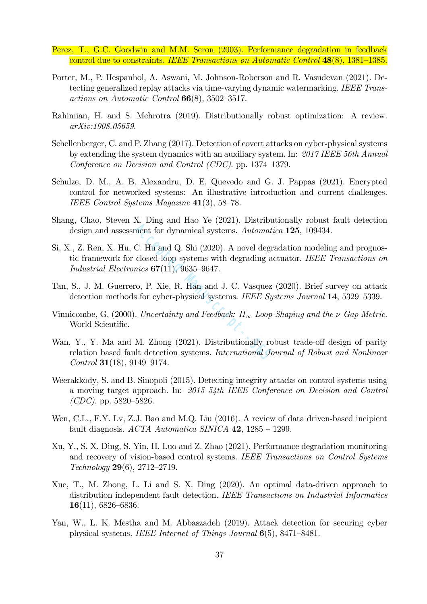- Perez, T., G.C. Goodwin and M.M. Seron (2003). Performance degradation in feedback control due to constraints. IEEE Transactions on Automatic Control 48(8), 1381—1385.
- Porter, M., P. Hespanhol, A. Aswani, M. Johnson-Roberson and R. Vasudevan (2021). Detecting generalized replay attacks via time-varying dynamic watermarking. IEEE Transactions on Automatic Control 66(8), 3502—3517.
- Rahimian, H. and S. Mehrotra (2019). Distributionally robust optimization: A review. arXiv:1908.05659.
- Schellenberger, C. and P. Zhang (2017). Detection of covert attacks on cyber-physical systems by extending the system dynamics with an auxiliary system. In: 2017 IEEE 56th Annual Conference on Decision and Control (CDC). pp. 1374—1379.
- Schulze, D. M., A. B. Alexandru, D. E. Quevedo and G. J. Pappas (2021). Encrypted control for networked systems: An illustrative introduction and current challenges. IEEE Control Systems Magazine 41(3), 58—78.
- Shang, Chao, Steven X. Ding and Hao Ye (2021). Distributionally robust fault detection design and assessment for dynamical systems. Automatica **125**, 109434.
- Si, X., Z. Ren, X. Hu, C. Hu and Q. Shi (2020). A novel degradation modeling and prognostic framework for closed-loop systems with degrading actuator. IEEE Transactions on Industrial Electronics  $67(11)$ , 9635-9647. The Lagrantian Devices, Euclidean<br>
C. Hu and Q. Shi (2020). A novel degr<br>
closed-loop systems with degrading a<br>
mics **67**(11), 9635–9647.<br>
co, P. Xie, R. Han and J. C. Vasquez<br>
s for cyber-physical systems. *IEEE Sy*<br> *C.*
- Tan, S., J. M. Guerrero, P. Xie, R. Han and J. C. Vasquez (2020). Brief survey on attack detection methods for cyber-physical systems. IEEE Systems Journal 14, 5329–5339.
- Vinnicombe, G. (2000). Uncertainty and Feedback:  $H_{\infty}$  Loop-Shaping and the  $\nu$  Gap Metric. World Scientific.
- Wan, Y., Y. Ma and M. Zhong (2021). Distributionally robust trade-off design of parity relation based fault detection systems. International Journal of Robust and Nonlinear Control 31(18), 9149—9174.
- Weerakkody, S. and B. Sinopoli (2015). Detecting integrity attacks on control systems using a moving target approach. In: 2015 54th IEEE Conference on Decision and Control  $(CDC)$ . pp. 5820–5826.
- Wen, C.L., F.Y. Lv, Z.J. Bao and M.Q. Liu (2016). A review of data driven-based incipient fault diagnosis.  $ACTA$  Automatica SINICA 42, 1285 – 1299.
- Xu, Y., S. X. Ding, S. Yin, H. Luo and Z. Zhao (2021). Performance degradation monitoring and recovery of vision-based control systems. IEEE Transactions on Control Systems Technology 29(6), 2712—2719.
- Xue, T., M. Zhong, L. Li and S. X. Ding (2020). An optimal data-driven approach to distribution independent fault detection. IEEE Transactions on Industrial Informatics  $16(11)$ , 6826–6836.
- Yan, W., L. K. Mestha and M. Abbaszadeh (2019). Attack detection for securing cyber physical systems. IEEE Internet of Things Journal 6(5), 8471—8481.